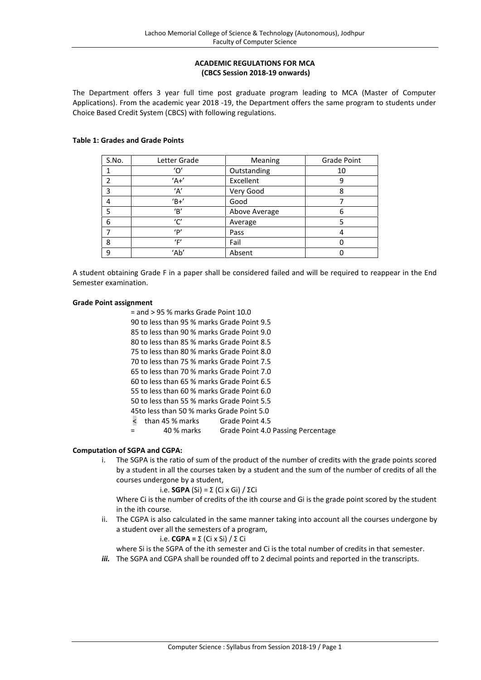# **ACADEMIC REGULATIONS FOR MCA (CBCS Session 2018-19 onwards)**

The Department offers 3 year full time post graduate program leading to MCA (Master of Computer Applications). From the academic year 2018 -19, the Department offers the same program to students under Choice Based Credit System (CBCS) with following regulations.

## **Table 1: Grades and Grade Points**

| S.No. | Letter Grade | Meaning       | <b>Grade Point</b> |
|-------|--------------|---------------|--------------------|
|       |              | Outstanding   | 10                 |
| 2     | $'A+$        | Excellent     | 9                  |
| 3     | 'Α'          | Very Good     | 8                  |
|       | $B+$         | Good          |                    |
| 5     | 'В'          | Above Average | 6                  |
| 6     | 'ር'          | Average       |                    |
|       | 'P'          | Pass          |                    |
| 8     | 'F'          | Fail          |                    |
| 9     | 'Ab'         | Absent        |                    |

A student obtaining Grade F in a paper shall be considered failed and will be required to reappear in the End Semester examination.

## **Grade Point assignment**

= and > 95 % marks Grade Point 10.0

90 to less than 95 % marks Grade Point 9.5

85 to less than 90 % marks Grade Point 9.0 80 to less than 85 % marks Grade Point 8.5

75 to less than 80 % marks Grade Point 8.0

70 to less than 75 % marks Grade Point 7.5

65 to less than 70 % marks Grade Point 7.0

60 to less than 65 % marks Grade Point 6.5

55 to less than 60 % marks Grade Point 6.0

50 to less than 55 % marks Grade Point 5.5

45to less than 50 % marks Grade Point 5.0

<than 45 % marks Grade Point 4.5

= 40 % marks Grade Point 4.0 Passing Percentage

# **Computation of SGPA and CGPA:**

i. The SGPA is the ratio of sum of the product of the number of credits with the grade points scored by a student in all the courses taken by a student and the sum of the number of credits of all the courses undergone by a student,

i.e. **SGPA** (Si) = Σ (Ci x Gi) / ΣCi

Where Ci is the number of credits of the ith course and Gi is the grade point scored by the student in the ith course.

ii. The CGPA is also calculated in the same manner taking into account all the courses undergone by a student over all the semesters of a program,

i.e. **CGPA =** Σ (Ci x Si) / Σ Ci

where Si is the SGPA of the ith semester and Ci is the total number of credits in that semester.

*iii.* The SGPA and CGPA shall be rounded off to 2 decimal points and reported in the transcripts.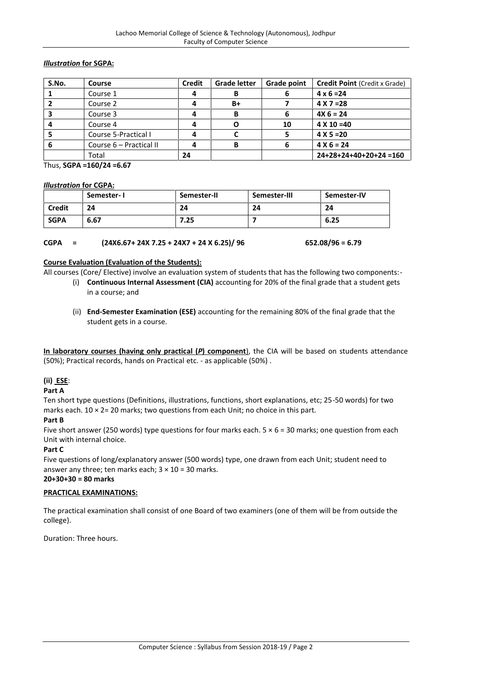# *Illustration* **for SGPA:**

| S.No. | Course                  | <b>Credit</b> | <b>Grade letter</b> | Grade point | <b>Credit Point (Credit x Grade)</b> |
|-------|-------------------------|---------------|---------------------|-------------|--------------------------------------|
|       | Course 1                |               | в                   | 6           | $4 \times 6 = 24$                    |
|       | Course 2                |               | $B+$                |             | $4 X 7 = 28$                         |
|       | Course 3                |               | в                   | 6           | $4X_6 = 24$                          |
|       | Course 4                |               |                     | 10          | $4 X 10 = 40$                        |
|       | Course 5-Practical I    |               |                     |             | $4 X 5 = 20$                         |
| O     | Course 6 – Practical II |               | в                   | 6           | $4 X 6 = 24$                         |
|       | Total                   | 24            |                     |             | $24+28+24+40+20+24=160$              |

Thus, **SGPA =160/24 =6.67**

## *Illustration* **for CGPA:**

|               | Semester-I | Semester-II | Semester-III | Semester-IV |
|---------------|------------|-------------|--------------|-------------|
| <b>Credit</b> | 24         | 24          | 24           | 24          |
| <b>SGPA</b>   | 6.67       | 7.25        |              | 6.25        |

# **CGPA = (24X6.67+ 24X 7.25 + 24X7 + 24 X 6.25)/ 96 652.08/96 = 6.79**

## **Course Evaluation (Evaluation of the Students):**

All courses (Core/ Elective) involve an evaluation system of students that has the following two components:-

- (i) **Continuous Internal Assessment (CIA)** accounting for 20% of the final grade that a student gets in a course; and
- (ii) **End-Semester Examination (ESE)** accounting for the remaining 80% of the final grade that the student gets in a course.

**In laboratory courses (having only practical (***P***) component**), the CIA will be based on students attendance (50%); Practical records, hands on Practical etc. - as applicable (50%) .

# **(ii) ESE**:

# **Part A**

Ten short type questions (Definitions, illustrations, functions, short explanations, etc; 25-50 words) for two marks each.  $10 \times 2 = 20$  marks; two questions from each Unit; no choice in this part.

## **Part B**

Five short answer (250 words) type questions for four marks each.  $5 \times 6 = 30$  marks; one question from each Unit with internal choice.

# **Part C**

Five questions of long/explanatory answer (500 words) type, one drawn from each Unit; student need to answer any three; ten marks each;  $3 \times 10 = 30$  marks.

# **20+30+30 = 80 marks**

# **PRACTICAL EXAMINATIONS:**

The practical examination shall consist of one Board of two examiners (one of them will be from outside the college).

Duration: Three hours.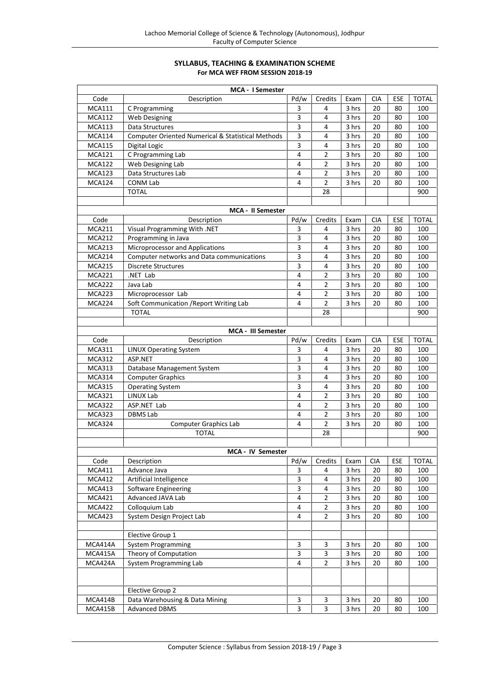# **SYLLABUS, TEACHING & EXAMINATION SCHEME For MCA WEF FROM SESSION 2018-19**

| MCA - I Semester                                             |                                                                                                                                                                                                                                                                                                                                                                                                                                                                                                                                                                                                          |                                                                                                                                                                                                                            |                                                                                                                                                                          |                                                                                                                                                                        |                                                                                                                  |                                                                                                     |
|--------------------------------------------------------------|----------------------------------------------------------------------------------------------------------------------------------------------------------------------------------------------------------------------------------------------------------------------------------------------------------------------------------------------------------------------------------------------------------------------------------------------------------------------------------------------------------------------------------------------------------------------------------------------------------|----------------------------------------------------------------------------------------------------------------------------------------------------------------------------------------------------------------------------|--------------------------------------------------------------------------------------------------------------------------------------------------------------------------|------------------------------------------------------------------------------------------------------------------------------------------------------------------------|------------------------------------------------------------------------------------------------------------------|-----------------------------------------------------------------------------------------------------|
| Description                                                  | Pd/w                                                                                                                                                                                                                                                                                                                                                                                                                                                                                                                                                                                                     | Credits                                                                                                                                                                                                                    | Exam                                                                                                                                                                     | CIA                                                                                                                                                                    | ESE                                                                                                              | <b>TOTAL</b>                                                                                        |
| C Programming                                                | 3                                                                                                                                                                                                                                                                                                                                                                                                                                                                                                                                                                                                        | 4                                                                                                                                                                                                                          | 3 hrs                                                                                                                                                                    | 20                                                                                                                                                                     | 80                                                                                                               | 100                                                                                                 |
| Web Designing                                                | 3                                                                                                                                                                                                                                                                                                                                                                                                                                                                                                                                                                                                        | 4                                                                                                                                                                                                                          | 3 hrs                                                                                                                                                                    | 20                                                                                                                                                                     | 80                                                                                                               | 100                                                                                                 |
| Data Structures                                              |                                                                                                                                                                                                                                                                                                                                                                                                                                                                                                                                                                                                          | 4                                                                                                                                                                                                                          | 3 hrs                                                                                                                                                                    | 20                                                                                                                                                                     | 80                                                                                                               | 100                                                                                                 |
| <b>Computer Oriented Numerical &amp; Statistical Methods</b> | 3                                                                                                                                                                                                                                                                                                                                                                                                                                                                                                                                                                                                        | 4                                                                                                                                                                                                                          | 3 hrs                                                                                                                                                                    | 20                                                                                                                                                                     | 80                                                                                                               | 100                                                                                                 |
| Digital Logic                                                | 3                                                                                                                                                                                                                                                                                                                                                                                                                                                                                                                                                                                                        | 4                                                                                                                                                                                                                          | 3 hrs                                                                                                                                                                    | 20                                                                                                                                                                     | 80                                                                                                               | 100                                                                                                 |
| C Programming Lab                                            | $\overline{4}$                                                                                                                                                                                                                                                                                                                                                                                                                                                                                                                                                                                           | $\overline{2}$                                                                                                                                                                                                             | 3 hrs                                                                                                                                                                    | 20                                                                                                                                                                     | 80                                                                                                               | 100                                                                                                 |
| Web Designing Lab                                            | 4                                                                                                                                                                                                                                                                                                                                                                                                                                                                                                                                                                                                        | $\overline{2}$                                                                                                                                                                                                             | 3 hrs                                                                                                                                                                    | 20                                                                                                                                                                     | 80                                                                                                               | 100                                                                                                 |
| Data Structures Lab                                          | 4                                                                                                                                                                                                                                                                                                                                                                                                                                                                                                                                                                                                        | $\overline{2}$                                                                                                                                                                                                             | 3 hrs                                                                                                                                                                    | 20                                                                                                                                                                     | 80                                                                                                               | 100                                                                                                 |
| CONM Lab                                                     | 4                                                                                                                                                                                                                                                                                                                                                                                                                                                                                                                                                                                                        | $\overline{2}$                                                                                                                                                                                                             | 3 hrs                                                                                                                                                                    | 20                                                                                                                                                                     | 80                                                                                                               | 100                                                                                                 |
| <b>TOTAL</b>                                                 |                                                                                                                                                                                                                                                                                                                                                                                                                                                                                                                                                                                                          | 28                                                                                                                                                                                                                         |                                                                                                                                                                          |                                                                                                                                                                        |                                                                                                                  | 900                                                                                                 |
|                                                              |                                                                                                                                                                                                                                                                                                                                                                                                                                                                                                                                                                                                          |                                                                                                                                                                                                                            |                                                                                                                                                                          |                                                                                                                                                                        |                                                                                                                  |                                                                                                     |
|                                                              |                                                                                                                                                                                                                                                                                                                                                                                                                                                                                                                                                                                                          | Credits                                                                                                                                                                                                                    | Exam                                                                                                                                                                     | CIA                                                                                                                                                                    | ESE                                                                                                              | <b>TOTAL</b>                                                                                        |
|                                                              |                                                                                                                                                                                                                                                                                                                                                                                                                                                                                                                                                                                                          | 4                                                                                                                                                                                                                          |                                                                                                                                                                          | 20                                                                                                                                                                     | 80                                                                                                               | 100                                                                                                 |
|                                                              |                                                                                                                                                                                                                                                                                                                                                                                                                                                                                                                                                                                                          | 4                                                                                                                                                                                                                          |                                                                                                                                                                          |                                                                                                                                                                        | 80                                                                                                               | 100                                                                                                 |
|                                                              |                                                                                                                                                                                                                                                                                                                                                                                                                                                                                                                                                                                                          | 4                                                                                                                                                                                                                          |                                                                                                                                                                          |                                                                                                                                                                        |                                                                                                                  | 100                                                                                                 |
|                                                              | 3                                                                                                                                                                                                                                                                                                                                                                                                                                                                                                                                                                                                        | 4                                                                                                                                                                                                                          | 3 hrs                                                                                                                                                                    | 20                                                                                                                                                                     | 80                                                                                                               | 100                                                                                                 |
|                                                              |                                                                                                                                                                                                                                                                                                                                                                                                                                                                                                                                                                                                          | 4                                                                                                                                                                                                                          |                                                                                                                                                                          |                                                                                                                                                                        |                                                                                                                  | 100                                                                                                 |
|                                                              | 4                                                                                                                                                                                                                                                                                                                                                                                                                                                                                                                                                                                                        | $\overline{2}$                                                                                                                                                                                                             |                                                                                                                                                                          |                                                                                                                                                                        |                                                                                                                  | 100                                                                                                 |
|                                                              |                                                                                                                                                                                                                                                                                                                                                                                                                                                                                                                                                                                                          |                                                                                                                                                                                                                            |                                                                                                                                                                          |                                                                                                                                                                        |                                                                                                                  | 100                                                                                                 |
|                                                              |                                                                                                                                                                                                                                                                                                                                                                                                                                                                                                                                                                                                          |                                                                                                                                                                                                                            |                                                                                                                                                                          |                                                                                                                                                                        |                                                                                                                  | 100                                                                                                 |
|                                                              |                                                                                                                                                                                                                                                                                                                                                                                                                                                                                                                                                                                                          |                                                                                                                                                                                                                            |                                                                                                                                                                          |                                                                                                                                                                        |                                                                                                                  | 100                                                                                                 |
|                                                              |                                                                                                                                                                                                                                                                                                                                                                                                                                                                                                                                                                                                          |                                                                                                                                                                                                                            |                                                                                                                                                                          |                                                                                                                                                                        |                                                                                                                  | 900                                                                                                 |
|                                                              |                                                                                                                                                                                                                                                                                                                                                                                                                                                                                                                                                                                                          |                                                                                                                                                                                                                            |                                                                                                                                                                          |                                                                                                                                                                        |                                                                                                                  |                                                                                                     |
|                                                              |                                                                                                                                                                                                                                                                                                                                                                                                                                                                                                                                                                                                          |                                                                                                                                                                                                                            |                                                                                                                                                                          |                                                                                                                                                                        |                                                                                                                  |                                                                                                     |
|                                                              |                                                                                                                                                                                                                                                                                                                                                                                                                                                                                                                                                                                                          |                                                                                                                                                                                                                            |                                                                                                                                                                          |                                                                                                                                                                        |                                                                                                                  | <b>TOTAL</b>                                                                                        |
|                                                              |                                                                                                                                                                                                                                                                                                                                                                                                                                                                                                                                                                                                          |                                                                                                                                                                                                                            |                                                                                                                                                                          |                                                                                                                                                                        |                                                                                                                  | 100                                                                                                 |
|                                                              |                                                                                                                                                                                                                                                                                                                                                                                                                                                                                                                                                                                                          |                                                                                                                                                                                                                            |                                                                                                                                                                          |                                                                                                                                                                        |                                                                                                                  | 100                                                                                                 |
|                                                              |                                                                                                                                                                                                                                                                                                                                                                                                                                                                                                                                                                                                          |                                                                                                                                                                                                                            |                                                                                                                                                                          |                                                                                                                                                                        |                                                                                                                  | 100                                                                                                 |
|                                                              |                                                                                                                                                                                                                                                                                                                                                                                                                                                                                                                                                                                                          |                                                                                                                                                                                                                            |                                                                                                                                                                          |                                                                                                                                                                        |                                                                                                                  | 100                                                                                                 |
|                                                              |                                                                                                                                                                                                                                                                                                                                                                                                                                                                                                                                                                                                          |                                                                                                                                                                                                                            |                                                                                                                                                                          |                                                                                                                                                                        |                                                                                                                  | 100                                                                                                 |
|                                                              |                                                                                                                                                                                                                                                                                                                                                                                                                                                                                                                                                                                                          |                                                                                                                                                                                                                            |                                                                                                                                                                          |                                                                                                                                                                        |                                                                                                                  | 100                                                                                                 |
|                                                              |                                                                                                                                                                                                                                                                                                                                                                                                                                                                                                                                                                                                          |                                                                                                                                                                                                                            |                                                                                                                                                                          |                                                                                                                                                                        |                                                                                                                  | 100                                                                                                 |
|                                                              |                                                                                                                                                                                                                                                                                                                                                                                                                                                                                                                                                                                                          |                                                                                                                                                                                                                            |                                                                                                                                                                          |                                                                                                                                                                        |                                                                                                                  | 100                                                                                                 |
|                                                              |                                                                                                                                                                                                                                                                                                                                                                                                                                                                                                                                                                                                          |                                                                                                                                                                                                                            |                                                                                                                                                                          |                                                                                                                                                                        |                                                                                                                  | 100                                                                                                 |
|                                                              |                                                                                                                                                                                                                                                                                                                                                                                                                                                                                                                                                                                                          |                                                                                                                                                                                                                            |                                                                                                                                                                          |                                                                                                                                                                        |                                                                                                                  | 900                                                                                                 |
|                                                              |                                                                                                                                                                                                                                                                                                                                                                                                                                                                                                                                                                                                          |                                                                                                                                                                                                                            |                                                                                                                                                                          |                                                                                                                                                                        |                                                                                                                  |                                                                                                     |
| Description                                                  | Pd/w                                                                                                                                                                                                                                                                                                                                                                                                                                                                                                                                                                                                     |                                                                                                                                                                                                                            | Exam                                                                                                                                                                     | <b>CIA</b>                                                                                                                                                             | <b>ESE</b>                                                                                                       | <b>TOTAL</b>                                                                                        |
|                                                              | 3                                                                                                                                                                                                                                                                                                                                                                                                                                                                                                                                                                                                        | 4                                                                                                                                                                                                                          |                                                                                                                                                                          |                                                                                                                                                                        |                                                                                                                  | 100                                                                                                 |
|                                                              |                                                                                                                                                                                                                                                                                                                                                                                                                                                                                                                                                                                                          | $\overline{4}$                                                                                                                                                                                                             | 3 hrs                                                                                                                                                                    | 20                                                                                                                                                                     | 80                                                                                                               | 100                                                                                                 |
| Software Engineering                                         | $\overline{\mathbf{3}}$                                                                                                                                                                                                                                                                                                                                                                                                                                                                                                                                                                                  | 4                                                                                                                                                                                                                          | 3 hrs                                                                                                                                                                    | 20                                                                                                                                                                     | 80                                                                                                               | 100                                                                                                 |
|                                                              |                                                                                                                                                                                                                                                                                                                                                                                                                                                                                                                                                                                                          |                                                                                                                                                                                                                            |                                                                                                                                                                          |                                                                                                                                                                        | 80                                                                                                               | 100                                                                                                 |
| Advanced JAVA Lab                                            | 4                                                                                                                                                                                                                                                                                                                                                                                                                                                                                                                                                                                                        | 2                                                                                                                                                                                                                          | 3 hrs                                                                                                                                                                    | 20                                                                                                                                                                     |                                                                                                                  |                                                                                                     |
| Colloquium Lab                                               | 4                                                                                                                                                                                                                                                                                                                                                                                                                                                                                                                                                                                                        | $\overline{2}$                                                                                                                                                                                                             | 3 hrs                                                                                                                                                                    | 20                                                                                                                                                                     | 80                                                                                                               | 100                                                                                                 |
| System Design Project Lab                                    | 4                                                                                                                                                                                                                                                                                                                                                                                                                                                                                                                                                                                                        | 2                                                                                                                                                                                                                          | 3 hrs                                                                                                                                                                    | 20                                                                                                                                                                     | 80                                                                                                               | 100                                                                                                 |
|                                                              |                                                                                                                                                                                                                                                                                                                                                                                                                                                                                                                                                                                                          |                                                                                                                                                                                                                            |                                                                                                                                                                          |                                                                                                                                                                        |                                                                                                                  |                                                                                                     |
| Elective Group 1                                             |                                                                                                                                                                                                                                                                                                                                                                                                                                                                                                                                                                                                          |                                                                                                                                                                                                                            |                                                                                                                                                                          |                                                                                                                                                                        |                                                                                                                  |                                                                                                     |
| <b>System Programming</b>                                    | $\mathbf{3}$                                                                                                                                                                                                                                                                                                                                                                                                                                                                                                                                                                                             | 3                                                                                                                                                                                                                          | 3 hrs                                                                                                                                                                    | 20                                                                                                                                                                     | 80                                                                                                               | 100                                                                                                 |
| Theory of Computation                                        | $\overline{3}$                                                                                                                                                                                                                                                                                                                                                                                                                                                                                                                                                                                           | 3                                                                                                                                                                                                                          | 3 hrs                                                                                                                                                                    | 20                                                                                                                                                                     | 80                                                                                                               | 100                                                                                                 |
| System Programming Lab                                       | $\overline{4}$                                                                                                                                                                                                                                                                                                                                                                                                                                                                                                                                                                                           | $\overline{2}$                                                                                                                                                                                                             | 3 hrs                                                                                                                                                                    | 20                                                                                                                                                                     | 80                                                                                                               | 100                                                                                                 |
|                                                              |                                                                                                                                                                                                                                                                                                                                                                                                                                                                                                                                                                                                          |                                                                                                                                                                                                                            |                                                                                                                                                                          |                                                                                                                                                                        |                                                                                                                  |                                                                                                     |
| Elective Group 2<br>Data Warehousing & Data Mining           | $\mathbf{3}$                                                                                                                                                                                                                                                                                                                                                                                                                                                                                                                                                                                             | 3                                                                                                                                                                                                                          | 3 hrs                                                                                                                                                                    | 20                                                                                                                                                                     | 80                                                                                                               | 100                                                                                                 |
|                                                              | <b>MCA - II Semester</b><br>Description<br>Visual Programming With .NET<br>Programming in Java<br>Microprocessor and Applications<br>Computer networks and Data communications<br><b>Discrete Structures</b><br>.NET Lab<br>Java Lab<br>Microprocessor Lab<br>Soft Communication / Report Writing Lab<br><b>TOTAL</b><br>Description<br><b>LINUX Operating System</b><br>ASP.NET<br>Database Management System<br><b>Computer Graphics</b><br><b>Operating System</b><br>LINUX Lab<br>ASP.NET Lab<br><b>DBMS Lab</b><br><b>Computer Graphics Lab</b><br>TOTAL<br>Advance Java<br>Artificial Intelligence | $\overline{\mathbf{3}}$<br>Pd/w<br>3<br>3<br>3<br>3<br>4<br>4<br>4<br><b>MCA - III Semester</b><br>Pd/w<br>3<br>3<br>3<br>$\overline{\mathbf{3}}$<br>3<br>$\overline{\mathbf{4}}$<br>4<br>4<br>4<br>MCA - IV Semester<br>3 | $\overline{2}$<br>$\overline{2}$<br>$\overline{2}$<br>28<br>Credits<br>4<br>4<br>4<br>4<br>4<br>$\overline{2}$<br>2<br>$\overline{2}$<br>$\overline{2}$<br>28<br>Credits | 3 hrs<br>3 hrs<br>3 hrs<br>3 hrs<br>3 hrs<br>3 hrs<br>3 hrs<br>3 hrs<br>Exam<br>3 hrs<br>3 hrs<br>3 hrs<br>3 hrs<br>3 hrs<br>3 hrs<br>3 hrs<br>3 hrs<br>3 hrs<br>3 hrs | 20<br>20<br>20<br>20<br>20<br>20<br>20<br><b>CIA</b><br>20<br>20<br>20<br>20<br>20<br>20<br>20<br>20<br>20<br>20 | 80<br>80<br>80<br>80<br>80<br>80<br>ESE<br>80<br>80<br>80<br>80<br>80<br>80<br>80<br>80<br>80<br>80 |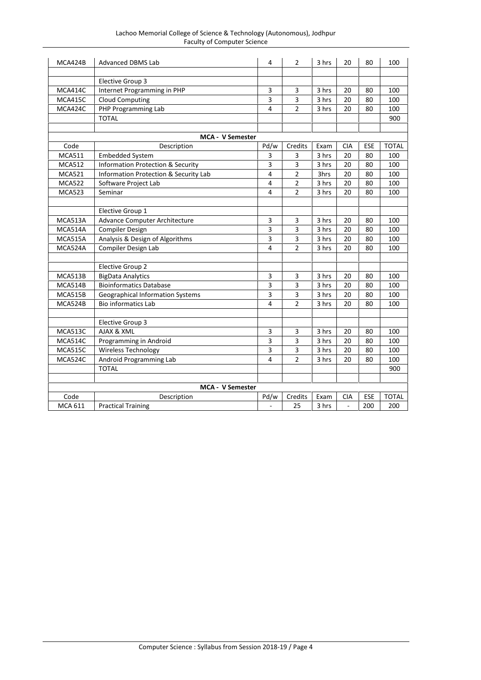| Lachoo Memorial College of Science & Technology (Autonomous), Jodhpur |  |
|-----------------------------------------------------------------------|--|
| Faculty of Computer Science                                           |  |

| MCA424B        | <b>Advanced DBMS Lab</b>                         | 4                       | $\overline{2}$ | 3 hrs | 20           | 80         | 100          |
|----------------|--------------------------------------------------|-------------------------|----------------|-------|--------------|------------|--------------|
|                | Elective Group 3                                 |                         |                |       |              |            |              |
| MCA414C        | Internet Programming in PHP                      | 3                       | 3              | 3 hrs | 20           | 80         | 100          |
| MCA415C        | <b>Cloud Computing</b>                           | 3                       | 3              | 3 hrs | 20           | 80         | 100          |
| MCA424C        | PHP Programming Lab                              | 4                       | $\overline{2}$ | 3 hrs | 20           | 80         | 100          |
|                | <b>TOTAL</b>                                     |                         |                |       |              |            | 900          |
|                |                                                  |                         |                |       |              |            |              |
|                | <b>MCA - V Semester</b>                          |                         |                |       |              |            |              |
| Code           | Description                                      | Pd/w                    | Credits        | Exam  | <b>CIA</b>   | <b>ESE</b> | <b>TOTAL</b> |
| <b>MCA511</b>  | <b>Embedded System</b>                           | 3                       | 3              | 3 hrs | 20           | 80         | 100          |
| <b>MCA512</b>  | <b>Information Protection &amp; Security</b>     | 3                       | 3              | 3 hrs | 20           | 80         | 100          |
| <b>MCA521</b>  | <b>Information Protection &amp; Security Lab</b> | 4                       | $\overline{2}$ | 3hrs  | 20           | 80         | 100          |
| <b>MCA522</b>  | Software Project Lab                             | 4                       | $\overline{2}$ | 3 hrs | 20           | 80         | 100          |
| <b>MCA523</b>  | Seminar                                          | 4                       | $\overline{2}$ | 3 hrs | 20           | 80         | 100          |
|                |                                                  |                         |                |       |              |            |              |
|                | Elective Group 1                                 |                         |                |       |              |            |              |
| MCA513A        | Advance Computer Architecture                    | $\overline{\mathbf{3}}$ | 3              | 3 hrs | 20           | 80         | 100          |
| MCA514A        | <b>Compiler Design</b>                           | 3                       | 3              | 3 hrs | 20           | 80         | 100          |
| MCA515A        | Analysis & Design of Algorithms                  | 3                       | 3              | 3 hrs | 20           | 80         | 100          |
| MCA524A        | Compiler Design Lab                              | 4                       | $\overline{2}$ | 3 hrs | 20           | 80         | 100          |
|                |                                                  |                         |                |       |              |            |              |
|                | Elective Group 2                                 |                         |                |       |              |            |              |
| MCA513B        | <b>BigData Analytics</b>                         | 3                       | 3              | 3 hrs | 20           | 80         | 100          |
| MCA514B        | <b>Bioinformatics Database</b>                   | 3                       | 3              | 3 hrs | 20           | 80         | 100          |
| MCA515B        | <b>Geographical Information Systems</b>          | 3                       | 3              | 3 hrs | 20           | 80         | 100          |
| MCA524B        | <b>Bio informatics Lab</b>                       | $\overline{4}$          | $\overline{2}$ | 3 hrs | 20           | 80         | 100          |
|                |                                                  |                         |                |       |              |            |              |
|                | Elective Group 3                                 |                         |                |       |              |            |              |
| MCA513C        | AJAX & XML                                       | 3                       | 3              | 3 hrs | 20           | 80         | 100          |
| MCA514C        | Programming in Android                           | 3                       | 3              | 3 hrs | 20           | 80         | 100          |
| <b>MCA515C</b> | Wireless Technology                              | 3                       | 3              | 3 hrs | 20           | 80         | 100          |
| MCA524C        | Android Programming Lab                          | 4                       | $\overline{2}$ | 3 hrs | 20           | 80         | 100          |
|                | <b>TOTAL</b>                                     |                         |                |       |              |            | 900          |
|                |                                                  |                         |                |       |              |            |              |
|                | <b>MCA - V Semester</b>                          |                         |                |       |              |            |              |
| Code           | Description                                      | Pd/w                    | Credits        | Exam  | CIA          | ESE        | <b>TOTAL</b> |
| <b>MCA 611</b> | <b>Practical Training</b>                        | ä,                      | 25             | 3 hrs | $\mathbb{L}$ | 200        | 200          |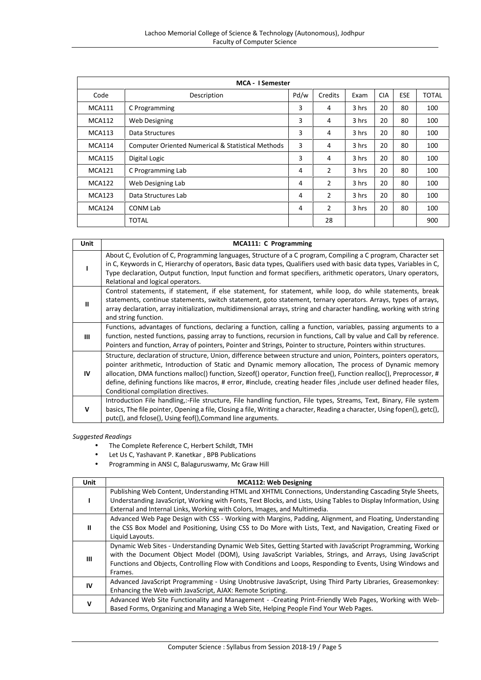|               | <b>MCA - I Semester</b>                                      |      |                |       |            |            |              |
|---------------|--------------------------------------------------------------|------|----------------|-------|------------|------------|--------------|
| Code          | Description                                                  | Pd/w | Credits        | Exam  | <b>CIA</b> | <b>ESE</b> | <b>TOTAL</b> |
| <b>MCA111</b> | C Programming                                                | 3    | 4              | 3 hrs | 20         | 80         | 100          |
| <b>MCA112</b> | Web Designing                                                | 3    | 4              | 3 hrs | 20         | 80         | 100          |
| <b>MCA113</b> | Data Structures                                              | 3    | 4              | 3 hrs | 20         | 80         | 100          |
| <b>MCA114</b> | <b>Computer Oriented Numerical &amp; Statistical Methods</b> | 3    | 4              | 3 hrs | 20         | 80         | 100          |
| <b>MCA115</b> | Digital Logic                                                | 3    | 4              | 3 hrs | 20         | 80         | 100          |
| <b>MCA121</b> | C Programming Lab                                            | 4    | 2              | 3 hrs | 20         | 80         | 100          |
| <b>MCA122</b> | Web Designing Lab                                            | 4    | $\overline{2}$ | 3 hrs | 20         | 80         | 100          |
| <b>MCA123</b> | Data Structures Lab                                          | 4    | $\overline{2}$ | 3 hrs | 20         | 80         | 100          |
| MCA124        | CONM Lab                                                     | 4    | 2              | 3 hrs | 20         | 80         | 100          |
|               | <b>TOTAL</b>                                                 |      | 28             |       |            |            | 900          |

| Unit      | MCA111: C Programming                                                                                                                                                                                                                                                                                                                                                                                                                                                                                               |
|-----------|---------------------------------------------------------------------------------------------------------------------------------------------------------------------------------------------------------------------------------------------------------------------------------------------------------------------------------------------------------------------------------------------------------------------------------------------------------------------------------------------------------------------|
|           | About C, Evolution of C, Programming languages, Structure of a C program, Compiling a C program, Character set<br>in C, Keywords in C, Hierarchy of operators, Basic data types, Qualifiers used with basic data types, Variables in C,<br>Type declaration, Output function, Input function and format specifiers, arithmetic operators, Unary operators,<br>Relational and logical operators.                                                                                                                     |
| Ш         | Control statements, if statement, if else statement, for statement, while loop, do while statements, break<br>statements, continue statements, switch statement, goto statement, ternary operators. Arrays, types of arrays,<br>array declaration, array initialization, multidimensional arrays, string and character handling, working with string<br>and string function.                                                                                                                                        |
| Ш         | Functions, advantages of functions, declaring a function, calling a function, variables, passing arguments to a<br>function, nested functions, passing array to functions, recursion in functions, Call by value and Call by reference.<br>Pointers and function, Array of pointers, Pointer and Strings, Pointer to structure, Pointers within structures.                                                                                                                                                         |
| <b>IV</b> | Structure, declaration of structure, Union, difference between structure and union, Pointers, pointers operators,<br>pointer arithmetic, Introduction of Static and Dynamic memory allocation, The process of Dynamic memory<br>allocation, DMA functions malloc() function, Sizeof() operator, Function free(), Function realloc(), Preprocessor, #<br>define, defining functions like macros, # error, #include, creating header files, include user defined header files,<br>Conditional compilation directives. |
| v         | Introduction File handling,:-File structure, File handling function, File types, Streams, Text, Binary, File system<br>basics, The file pointer, Opening a file, Closing a file, Writing a character, Reading a character, Using fopen(), getc(),<br>putc(), and fclose(), Using feof(), Command line arguments.                                                                                                                                                                                                    |

- The Complete Reference C, Herbert Schildt, TMH<br>• Let Us C, Yashavant P. Kanetkar, BPB Publications
- Let Us C, Yashavant P. Kanetkar , BPB Publications
- Programming in ANSI C, Balaguruswamy, Mc Graw Hill

| <b>Unit</b> | <b>MCA112: Web Designing</b>                                                                                                                                                                                                                                                                                                                  |
|-------------|-----------------------------------------------------------------------------------------------------------------------------------------------------------------------------------------------------------------------------------------------------------------------------------------------------------------------------------------------|
|             | Publishing Web Content, Understanding HTML and XHTML Connections, Understanding Cascading Style Sheets,<br>Understanding JavaScript, Working with Fonts, Text Blocks, and Lists, Using Tables to Display Information, Using<br>External and Internal Links, Working with Colors, Images, and Multimedia.                                      |
| Ш           | Advanced Web Page Design with CSS - Working with Margins, Padding, Alignment, and Floating, Understanding<br>the CSS Box Model and Positioning, Using CSS to Do More with Lists, Text, and Navigation, Creating Fixed or<br>Liquid Layouts.                                                                                                   |
| Ш           | Dynamic Web Sites - Understanding Dynamic Web Sites, Getting Started with JavaScript Programming, Working<br>with the Document Object Model (DOM), Using JavaScript Variables, Strings, and Arrays, Using JavaScript<br>Functions and Objects, Controlling Flow with Conditions and Loops, Responding to Events, Using Windows and<br>Frames. |
| IV          | Advanced JavaScript Programming - Using Unobtrusive JavaScript, Using Third Party Libraries, Greasemonkey:<br>Enhancing the Web with JavaScript, AJAX: Remote Scripting.                                                                                                                                                                      |
| $\mathbf v$ | Advanced Web Site Functionality and Management - -Creating Print-Friendly Web Pages, Working with Web-<br>Based Forms, Organizing and Managing a Web Site, Helping People Find Your Web Pages.                                                                                                                                                |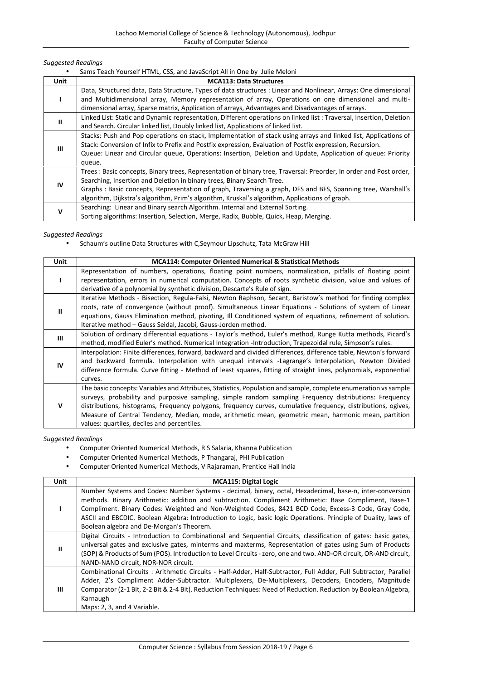|  | Sams Teach Yourself HTML, CSS, and JavaScript All in One by Julie Meloni |  |  |
|--|--------------------------------------------------------------------------|--|--|
|--|--------------------------------------------------------------------------|--|--|

| <b>Unit</b> | <b>MCA113: Data Structures</b>                                                                                      |
|-------------|---------------------------------------------------------------------------------------------------------------------|
|             | Data, Structured data, Data Structure, Types of data structures : Linear and Nonlinear, Arrays: One dimensional     |
|             | and Multidimensional array, Memory representation of array, Operations on one dimensional and multi-                |
|             | dimensional array, Sparse matrix, Application of arrays, Advantages and Disadvantages of arrays.                    |
| Ш           | Linked List: Static and Dynamic representation, Different operations on linked list: Traversal, Insertion, Deletion |
|             | and Search. Circular linked list, Doubly linked list, Applications of linked list.                                  |
|             | Stacks: Push and Pop operations on stack, Implementation of stack using arrays and linked list, Applications of     |
|             | Stack: Conversion of Infix to Prefix and Postfix expression, Evaluation of Postfix expression, Recursion.           |
| Ш           | Queue: Linear and Circular queue, Operations: Insertion, Deletion and Update, Application of queue: Priority        |
|             | queue.                                                                                                              |
|             | Trees: Basic concepts, Binary trees, Representation of binary tree, Traversal: Preorder, In order and Post order,   |
|             | Searching, Insertion and Deletion in binary trees, Binary Search Tree.                                              |
| IV          | Graphs: Basic concepts, Representation of graph, Traversing a graph, DFS and BFS, Spanning tree, Warshall's         |
|             | algorithm, Dijkstra's algorithm, Prim's algorithm, Kruskal's algorithm, Applications of graph.                      |
| v           | Searching: Linear and Binary search Algorithm. Internal and External Sorting.                                       |
|             | Sorting algorithms: Insertion, Selection, Merge, Radix, Bubble, Quick, Heap, Merging.                               |

*Suggested Readings*

Schaum's outline Data Structures with C,Seymour Lipschutz, Tata McGraw Hill

| <b>Unit</b> | <b>MCA114: Computer Oriented Numerical &amp; Statistical Methods</b>                                             |
|-------------|------------------------------------------------------------------------------------------------------------------|
|             | Representation of numbers, operations, floating point numbers, normalization, pitfalls of floating point         |
|             | representation, errors in numerical computation. Concepts of roots synthetic division, value and values of       |
|             | derivative of a polynomial by synthetic division, Descarte's Rule of sign.                                       |
|             | Iterative Methods - Bisection, Regula-Falsi, Newton Raphson, Secant, Baristow's method for finding complex       |
| Ш           | roots, rate of convergence (without proof). Simultaneous Linear Equations - Solutions of system of Linear        |
|             | equations, Gauss Elimination method, pivoting, Ill Conditioned system of equations, refinement of solution.      |
|             | Iterative method - Gauss Seidal, Jacobi, Gauss-Jorden method.                                                    |
| Ш           | Solution of ordinary differential equations - Taylor's method, Euler's method, Runge Kutta methods, Picard's     |
|             | method, modified Euler's method. Numerical Integration -Introduction, Trapezoidal rule, Simpson's rules.         |
|             | Interpolation: Finite differences, forward, backward and divided differences, difference table, Newton's forward |
| IV          | and backward formula. Interpolation with unequal intervals -Lagrange's Interpolation, Newton Divided             |
|             | difference formula. Curve fitting - Method of least squares, fitting of straight lines, polynomials, exponential |
|             | curves.                                                                                                          |
|             | The basic concepts: Variables and Attributes, Statistics, Population and sample, complete enumeration vs sample  |
|             | surveys, probability and purposive sampling, simple random sampling Frequency distributions: Frequency           |
| v           | distributions, histograms, Frequency polygons, frequency curves, cumulative frequency, distributions, ogives,    |
|             | Measure of Central Tendency, Median, mode, arithmetic mean, geometric mean, harmonic mean, partition             |
|             | values: quartiles, deciles and percentiles.                                                                      |

- Computer Oriented Numerical Methods, R S Salaria, Khanna Publication
- Computer Oriented Numerical Methods, P Thangaraj, PHI Publication
- Computer Oriented Numerical Methods, V Rajaraman, Prentice Hall India

| Unit | <b>MCA115: Digital Logic</b>                                                                                                                                                                                                                                                                                                                                                                                                                                                           |
|------|----------------------------------------------------------------------------------------------------------------------------------------------------------------------------------------------------------------------------------------------------------------------------------------------------------------------------------------------------------------------------------------------------------------------------------------------------------------------------------------|
|      | Number Systems and Codes: Number Systems - decimal, binary, octal, Hexadecimal, base-n, inter-conversion<br>methods. Binary Arithmetic: addition and subtraction. Compliment Arithmetic: Base Compliment, Base-1<br>Compliment. Binary Codes: Weighted and Non-Weighted Codes, 8421 BCD Code, Excess-3 Code, Gray Code,<br>ASCII and EBCDIC. Boolean Algebra: Introduction to Logic, basic logic Operations. Principle of Duality, laws of<br>Boolean algebra and De-Morgan's Theorem. |
| Ш    | Digital Circuits - Introduction to Combinational and Sequential Circuits, classification of gates: basic gates,<br>universal gates and exclusive gates, minterms and maxterms, Representation of gates using Sum of Products<br>(SOP) & Products of Sum (POS). Introduction to Level Circuits - zero, one and two. AND-OR circuit, OR-AND circuit,<br>NAND-NAND circuit, NOR-NOR circuit.                                                                                              |
| ш    | Combinational Circuits: Arithmetic Circuits - Half-Adder, Half-Subtractor, Full Adder, Full Subtractor, Parallel<br>Adder, 2's Compliment Adder-Subtractor. Multiplexers, De-Multiplexers, Decoders, Encoders, Magnitude<br>Comparator (2-1 Bit, 2-2 Bit & 2-4 Bit). Reduction Techniques: Need of Reduction. Reduction by Boolean Algebra,<br>Karnaugh<br>Maps: 2, 3, and 4 Variable.                                                                                                 |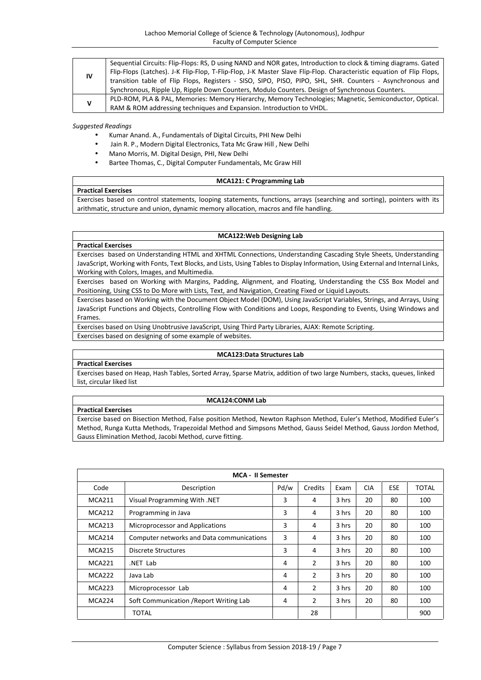| IV<br>v | Sequential Circuits: Flip-Flops: RS, D using NAND and NOR gates, Introduction to clock & timing diagrams. Gated      |
|---------|----------------------------------------------------------------------------------------------------------------------|
|         | Flip-Flops (Latches). J-K Flip-Flop, T-Flip-Flop, J-K Master Slave Flip-Flop. Characteristic equation of Flip Flops, |
|         | transition table of Flip Flops, Registers - SISO, SIPO, PISO, PIPO, SHL, SHR. Counters - Asynchronous and            |
|         | Synchronous, Ripple Up, Ripple Down Counters, Modulo Counters. Design of Synchronous Counters.                       |
|         | PLD-ROM, PLA & PAL, Memories: Memory Hierarchy, Memory Technologies; Magnetic, Semiconductor, Optical.               |
|         | RAM & ROM addressing techniques and Expansion. Introduction to VHDL.                                                 |

- Kumar Anand. A., Fundamentals of Digital Circuits, PHI New Delhi
- Jain R. P., Modern Digital Electronics, Tata Mc Graw Hill , New Delhi
- Mano Morris, M. Digital Design, PHI, New Delhi
- Bartee Thomas, C., Digital Computer Fundamentals, Mc Graw Hill

#### **MCA121: C Programming Lab**

Exercises based on control statements, looping statements, functions, arrays (searching and sorting), pointers with its arithmatic, structure and union, dynamic memory allocation, macros and file handling.

#### **MCA122:Web Designing Lab**

## **Practical Exercises**

**Practical Exercises**

Exercises based on Understanding HTML and XHTML Connections, Understanding Cascading Style Sheets, Understanding JavaScript, Working with Fonts, Text Blocks, and Lists, Using Tables to Display Information, Using External and Internal Links, Working with Colors, Images, and Multimedia.

Exercises based on Working with Margins, Padding, Alignment, and Floating, Understanding the CSS Box Model and Positioning, Using CSS to Do More with Lists, Text, and Navigation, Creating Fixed or Liquid Layouts.

Exercises based on Working with the Document Object Model (DOM), Using JavaScript Variables, Strings, and Arrays, Using JavaScript Functions and Objects, Controlling Flow with Conditions and Loops, Responding to Events, Using Windows and Frames.

Exercises based on Using Unobtrusive JavaScript, Using Third Party Libraries, AJAX: Remote Scripting. Exercises based on designing of some example of websites.

# **MCA123:Data Structures Lab**

## **Practical Exercises**

Exercises based on Heap, Hash Tables, Sorted Array, Sparse Matrix, addition of two large Numbers, stacks, queues, linked list, circular liked list

#### **MCA124:CONM Lab**

**Practical Exercises**

Exercise based on Bisection Method, False position Method, Newton Raphson Method, Euler's Method, Modified Euler's Method, Runga Kutta Methods, Trapezoidal Method and Simpsons Method, Gauss Seidel Method, Gauss Jordon Method, Gauss Elimination Method, Jacobi Method, curve fitting.

|               | <b>MCA - II Semester</b>                  |      |                |       |            |            |       |
|---------------|-------------------------------------------|------|----------------|-------|------------|------------|-------|
| Code          | Description                               | Pd/w | Credits        | Exam  | <b>CIA</b> | <b>ESE</b> | TOTAL |
| <b>MCA211</b> | Visual Programming With .NET              | 3    | 4              | 3 hrs | 20         | 80         | 100   |
| <b>MCA212</b> | Programming in Java                       | 3    | 4              | 3 hrs | 20         | 80         | 100   |
| <b>MCA213</b> | Microprocessor and Applications           | 3    | 4              | 3 hrs | 20         | 80         | 100   |
| <b>MCA214</b> | Computer networks and Data communications | 3    | 4              | 3 hrs | 20         | 80         | 100   |
| <b>MCA215</b> | Discrete Structures                       | 3    | 4              | 3 hrs | 20         | 80         | 100   |
| <b>MCA221</b> | .NET Lab                                  | 4    | 2              | 3 hrs | 20         | 80         | 100   |
| MCA222        | Java Lab                                  | 4    | 2              | 3 hrs | 20         | 80         | 100   |
| <b>MCA223</b> | Microprocessor Lab                        | 4    | $\overline{2}$ | 3 hrs | 20         | 80         | 100   |
| MCA224        | Soft Communication / Report Writing Lab   | 4    | 2              | 3 hrs | 20         | 80         | 100   |
|               | <b>TOTAL</b>                              |      | 28             |       |            |            | 900   |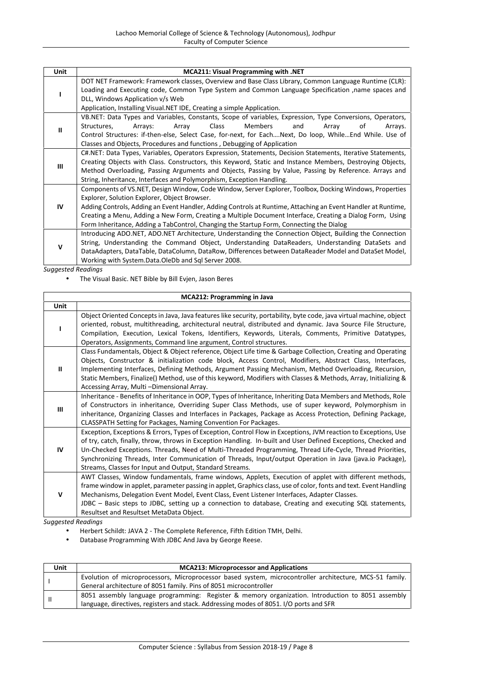| Unit        | MCA211: Visual Programming with .NET                                                                                                                                                                                                                                                                                |  |  |  |  |
|-------------|---------------------------------------------------------------------------------------------------------------------------------------------------------------------------------------------------------------------------------------------------------------------------------------------------------------------|--|--|--|--|
|             | DOT NET Framework: Framework classes, Overview and Base Class Library, Common Language Runtime (CLR):                                                                                                                                                                                                               |  |  |  |  |
|             | Loading and Executing code, Common Type System and Common Language Specification , name spaces and                                                                                                                                                                                                                  |  |  |  |  |
|             | DLL, Windows Application v/s Web                                                                                                                                                                                                                                                                                    |  |  |  |  |
|             | Application, Installing Visual.NET IDE, Creating a simple Application.                                                                                                                                                                                                                                              |  |  |  |  |
|             | VB.NET: Data Types and Variables, Constants, Scope of variables, Expression, Type Conversions, Operators,                                                                                                                                                                                                           |  |  |  |  |
| Ш           | Class<br>Members<br>Structures,<br>and<br>of<br>Arrays:<br>Array<br>Arrays.<br>Array                                                                                                                                                                                                                                |  |  |  |  |
|             | Control Structures: if-then-else, Select Case, for-next, for EachNext, Do loop, WhileEnd While. Use of                                                                                                                                                                                                              |  |  |  |  |
|             | Classes and Objects, Procedures and functions, Debugging of Application                                                                                                                                                                                                                                             |  |  |  |  |
|             | C#.NET: Data Types, Variables, Operators Expression, Statements, Decision Statements, Iterative Statements,                                                                                                                                                                                                         |  |  |  |  |
|             | Creating Objects with Class. Constructors, this Keyword, Static and Instance Members, Destroying Objects,                                                                                                                                                                                                           |  |  |  |  |
|             |                                                                                                                                                                                                                                                                                                                     |  |  |  |  |
| Ш           |                                                                                                                                                                                                                                                                                                                     |  |  |  |  |
|             | String, Inheritance, Interfaces and Polymorphism, Exception Handling.                                                                                                                                                                                                                                               |  |  |  |  |
|             |                                                                                                                                                                                                                                                                                                                     |  |  |  |  |
|             | Method Overloading, Passing Arguments and Objects, Passing by Value, Passing by Reference. Arrays and<br>Components of VS.NET, Design Window, Code Window, Server Explorer, Toolbox, Docking Windows, Properties<br>Explorer, Solution Explorer, Object Browser.                                                    |  |  |  |  |
| IV          | Adding Controls, Adding an Event Handler, Adding Controls at Runtime, Attaching an Event Handler at Runtime,                                                                                                                                                                                                        |  |  |  |  |
|             | Creating a Menu, Adding a New Form, Creating a Multiple Document Interface, Creating a Dialog Form, Using                                                                                                                                                                                                           |  |  |  |  |
|             | Form Inheritance, Adding a TabControl, Changing the Startup Form, Connecting the Dialog                                                                                                                                                                                                                             |  |  |  |  |
|             |                                                                                                                                                                                                                                                                                                                     |  |  |  |  |
|             |                                                                                                                                                                                                                                                                                                                     |  |  |  |  |
| $\mathbf v$ | Introducing ADO.NET, ADO.NET Architecture, Understanding the Connection Object, Building the Connection<br>String, Understanding the Command Object, Understanding DataReaders, Understanding DataSets and<br>DataAdapters, DataTable, DataColumn, DataRow, Differences between DataReader Model and DataSet Model, |  |  |  |  |

The Visual Basic. NET Bible by Bill Evjen, Jason Beres

|              | <b>MCA212: Programming in Java</b>                                                                                                                                                                                                                                                                                                                                                                                                                                                                                     |
|--------------|------------------------------------------------------------------------------------------------------------------------------------------------------------------------------------------------------------------------------------------------------------------------------------------------------------------------------------------------------------------------------------------------------------------------------------------------------------------------------------------------------------------------|
| Unit         |                                                                                                                                                                                                                                                                                                                                                                                                                                                                                                                        |
|              | Object Oriented Concepts in Java, Java features like security, portability, byte code, java virtual machine, object<br>oriented, robust, multithreading, architectural neutral, distributed and dynamic. Java Source File Structure,<br>Compilation, Execution, Lexical Tokens, Identifiers, Keywords, Literals, Comments, Primitive Datatypes,<br>Operators, Assignments, Command line argument, Control structures.                                                                                                  |
| $\mathbf{u}$ | Class Fundamentals, Object & Object reference, Object Life time & Garbage Collection, Creating and Operating<br>Objects, Constructor & initialization code block, Access Control, Modifiers, Abstract Class, Interfaces,<br>Implementing Interfaces, Defining Methods, Argument Passing Mechanism, Method Overloading, Recursion,<br>Static Members, Finalize() Method, use of this keyword, Modifiers with Classes & Methods, Array, Initializing &<br>Accessing Array, Multi-Dimensional Array.                      |
| Ш            | Inheritance - Benefits of Inheritance in OOP, Types of Inheritance, Inheriting Data Members and Methods, Role<br>of Constructors in inheritance, Overriding Super Class Methods, use of super keyword, Polymorphism in<br>inheritance, Organizing Classes and Interfaces in Packages, Package as Access Protection, Defining Package,<br>CLASSPATH Setting for Packages, Naming Convention For Packages.                                                                                                               |
| IV           | Exception, Exceptions & Errors, Types of Exception, Control Flow in Exceptions, JVM reaction to Exceptions, Use<br>of try, catch, finally, throw, throws in Exception Handling. In-built and User Defined Exceptions, Checked and<br>Un-Checked Exceptions. Threads, Need of Multi-Threaded Programming, Thread Life-Cycle, Thread Priorities,<br>Synchronizing Threads, Inter Communication of Threads, Input/output Operation in Java (java.io Package),<br>Streams, Classes for Input and Output, Standard Streams. |
| $\mathsf{V}$ | AWT Classes, Window fundamentals, frame windows, Applets, Execution of applet with different methods,<br>frame window in applet, parameter passing in applet, Graphics class, use of color, fonts and text. Event Handling<br>Mechanisms, Delegation Event Model, Event Class, Event Listener Interfaces, Adapter Classes.<br>JDBC - Basic steps to JDBC, setting up a connection to database, Creating and executing SQL statements,<br>Resultset and Resultset MetaData Object.                                      |

- Herbert Schildt: JAVA 2 The Complete Reference, Fifth Edition TMH, Delhi.
- Database Programming With JDBC And Java by George Reese.

| Unit | <b>MCA213: Microprocessor and Applications</b>                                                          |
|------|---------------------------------------------------------------------------------------------------------|
|      | Evolution of microprocessors, Microprocessor based system, microcontroller architecture, MCS-51 family. |
|      | General architecture of 8051 family. Pins of 8051 microcontroller                                       |
|      | 8051 assembly language programming: Register & memory organization. Introduction to 8051 assembly       |
|      | language, directives, registers and stack. Addressing modes of 8051. I/O ports and SFR                  |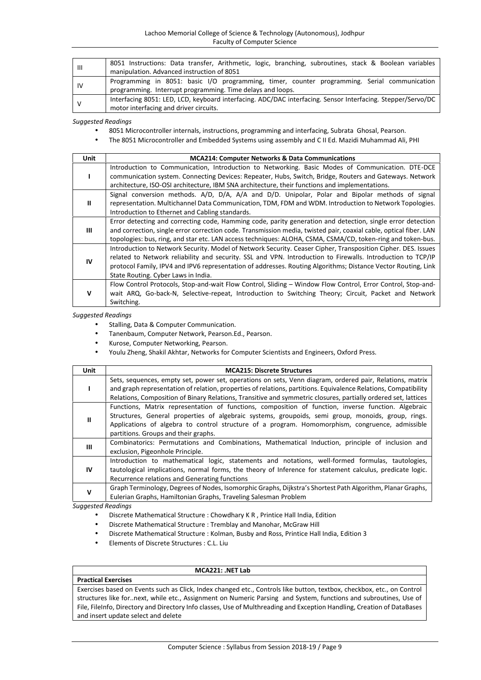| Ш  | 8051 Instructions: Data transfer, Arithmetic, logic, branching, subroutines, stack & Boolean variables                                                     |
|----|------------------------------------------------------------------------------------------------------------------------------------------------------------|
|    | manipulation. Advanced instruction of 8051                                                                                                                 |
| IV | Programming in 8051: basic I/O programming, timer, counter programming. Serial communication<br>programming. Interrupt programming. Time delays and loops. |
|    | Interfacing 8051: LED, LCD, keyboard interfacing. ADC/DAC interfacing. Sensor Interfacing. Stepper/Servo/DC                                                |
|    | motor interfacing and driver circuits.                                                                                                                     |

- 8051 Microcontroller internals, instructions, programming and interfacing, Subrata Ghosal, Pearson.
- The 8051 Microcontroller and Embedded Systems using assembly and C II Ed. Mazidi Muhammad Ali, PHI

| <b>Unit</b> | <b>MCA214: Computer Networks &amp; Data Communications</b>                                                        |
|-------------|-------------------------------------------------------------------------------------------------------------------|
|             | Introduction to Communication, Introduction to Networking. Basic Modes of Communication. DTE-DCE                  |
|             | communication system. Connecting Devices: Repeater, Hubs, Switch, Bridge, Routers and Gateways. Network           |
|             | architecture, ISO-OSI architecture, IBM SNA architecture, their functions and implementations.                    |
|             | Signal conversion methods. A/D, D/A, A/A and D/D. Unipolar, Polar and Bipolar methods of signal                   |
| Ш           | representation. Multichannel Data Communication, TDM, FDM and WDM. Introduction to Network Topologies.            |
|             | Introduction to Ethernet and Cabling standards.                                                                   |
|             | Error detecting and correcting code, Hamming code, parity generation and detection, single error detection        |
| Ш           | and correction, single error correction code. Transmission media, twisted pair, coaxial cable, optical fiber. LAN |
|             | topologies: bus, ring, and star etc. LAN access techniques: ALOHA, CSMA, CSMA/CD, token-ring and token-bus.       |
|             | Introduction to Network Security. Model of Network Security. Ceaser Cipher, Transposition Cipher. DES. Issues     |
| IV          | related to Network reliability and security. SSL and VPN. Introduction to Firewalls. Introduction to TCP/IP       |
|             | protocol Family, IPV4 and IPV6 representation of addresses. Routing Algorithms; Distance Vector Routing, Link     |
|             | State Routing. Cyber Laws in India.                                                                               |
| v           | Flow Control Protocols, Stop-and-wait Flow Control, Sliding – Window Flow Control, Error Control, Stop-and-       |
|             | wait ARQ, Go-back-N, Selective-repeat, Introduction to Switching Theory; Circuit, Packet and Network              |
|             | Switching.                                                                                                        |

#### *Suggested Readings*

- Stalling, Data & Computer Communication.
- Tanenbaum, Computer Network, Pearson.Ed., Pearson.
- Kurose, Computer Networking, Pearson.
- Youlu Zheng, Shakil Akhtar, Networks for Computer Scientists and Engineers, Oxford Press.

| <b>Unit</b>  | <b>MCA215: Discrete Structures</b>                                                                              |
|--------------|-----------------------------------------------------------------------------------------------------------------|
|              | Sets, sequences, empty set, power set, operations on sets, Venn diagram, ordered pair, Relations, matrix        |
|              | and graph representation of relation, properties of relations, partitions. Equivalence Relations, Compatibility |
|              | Relations, Composition of Binary Relations, Transitive and symmetric closures, partially ordered set, lattices  |
|              | Functions, Matrix representation of functions, composition of function, inverse function. Algebraic             |
| $\mathbf{u}$ | Structures, General properties of algebraic systems, groupoids, semi group, monoids, group, rings.              |
|              | Applications of algebra to control structure of a program. Homomorphism, congruence, admissible                 |
|              | partitions. Groups and their graphs.                                                                            |
|              | Combinatorics: Permutations and Combinations, Mathematical Induction, principle of inclusion and                |
| Ш            | exclusion, Pigeonhole Principle.                                                                                |
|              | Introduction to mathematical logic, statements and notations, well-formed formulas, tautologies,                |
| <b>IV</b>    | tautological implications, normal forms, the theory of Inference for statement calculus, predicate logic.       |
|              | Recurrence relations and Generating functions                                                                   |
| $\mathsf{v}$ | Graph Terminology, Degrees of Nodes, Isomorphic Graphs, Dijkstra's Shortest Path Algorithm, Planar Graphs,      |
|              | Eulerian Graphs, Hamiltonian Graphs, Traveling Salesman Problem                                                 |

*Suggested Readings*

- Discrete Mathematical Structure : Chowdhary K R , Printice Hall India, Edition
- Discrete Mathematical Structure : Tremblay and Manohar, McGraw Hill
- Discrete Mathematical Structure : Kolman, Busby and Ross, Printice Hall India, Edition 3
- Elements of Discrete Structures : C.L. Liu

#### **Practical Exercises**

**MCA221: .NET Lab**

Exercises based on Events such as Click, Index changed etc., Controls like button, textbox, checkbox, etc., on Control structures like for..next, while etc., Assignment on Numeric Parsing and System, functions and subroutines, Use of File, FileInfo, Directory and Directory Info classes, Use of Multhreading and Exception Handling, Creation of DataBases and insert update select and delete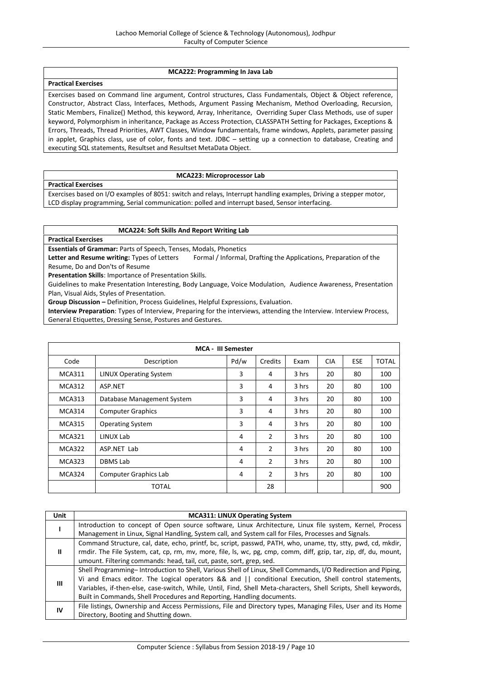#### **MCA222: Programming In Java Lab**

## **Practical Exercises**

Exercises based on Command line argument, Control structures, Class Fundamentals, Object & Object reference, Constructor, Abstract Class, Interfaces, Methods, Argument Passing Mechanism, Method Overloading, Recursion, Static Members, Finalize() Method, this keyword, Array, Inheritance, Overriding Super Class Methods, use of super keyword, Polymorphism in inheritance, Package as Access Protection, CLASSPATH Setting for Packages, Exceptions & Errors, Threads, Thread Priorities, AWT Classes, Window fundamentals, frame windows, Applets, parameter passing in applet, Graphics class, use of color, fonts and text. JDBC – setting up a connection to database, Creating and executing SQL statements, Resultset and Resultset MetaData Object.

#### **MCA223: Microprocessor Lab**

**Practical Exercises**

Exercises based on I/O examples of 8051: switch and relays, Interrupt handling examples, Driving a stepper motor, LCD display programming, Serial communication: polled and interrupt based, Sensor interfacing.

#### **MCA224: Soft Skills And Report Writing Lab**

**Practical Exercises**

**Essentials of Grammar:** Parts of Speech, Tenses, Modals, Phonetics

Letter and Resume writing: Types of Letters Formal / Informal, Drafting the Applications, Preparation of the Resume, Do and Don'ts of Resume

**Presentation Skills**: Importance of Presentation Skills.

Guidelines to make Presentation Interesting, Body Language, Voice Modulation, Audience Awareness, Presentation Plan, Visual Aids, Styles of Presentation.

**Group Discussion –** Definition, Process Guidelines, Helpful Expressions, Evaluation.

**Interview Preparation**: Types of Interview, Preparing for the interviews, attending the Interview. Interview Process, General Etiquettes, Dressing Sense, Postures and Gestures.

| <b>MCA - III Semester</b> |                               |      |                |       |            |            |       |
|---------------------------|-------------------------------|------|----------------|-------|------------|------------|-------|
| Code                      | Description                   | Pd/w | Credits        | Exam  | <b>CIA</b> | <b>ESE</b> | TOTAL |
| <b>MCA311</b>             | <b>LINUX Operating System</b> | 3    | 4              | 3 hrs | 20         | 80         | 100   |
| MCA312                    | ASP.NET                       | 3    | 4              | 3 hrs | 20         | 80         | 100   |
| <b>MCA313</b>             | Database Management System    | 3    | 4              | 3 hrs | 20         | 80         | 100   |
| MCA314                    | <b>Computer Graphics</b>      | 3    | 4              | 3 hrs | 20         | 80         | 100   |
| <b>MCA315</b>             | <b>Operating System</b>       | 3    | 4              | 3 hrs | 20         | 80         | 100   |
| <b>MCA321</b>             | LINUX Lab                     | 4    | $\overline{2}$ | 3 hrs | 20         | 80         | 100   |
| <b>MCA322</b>             | ASP.NET Lab                   | 4    | $\overline{2}$ | 3 hrs | 20         | 80         | 100   |
| <b>MCA323</b>             | DBMS Lab                      | 4    | $\overline{2}$ | 3 hrs | 20         | 80         | 100   |
| MCA324                    | <b>Computer Graphics Lab</b>  | 4    | $\overline{2}$ | 3 hrs | 20         | 80         | 100   |
|                           | <b>TOTAL</b>                  |      | 28             |       |            |            | 900   |

| <b>Unit</b> | <b>MCA311: LINUX Operating System</b>                                                                            |
|-------------|------------------------------------------------------------------------------------------------------------------|
|             | Introduction to concept of Open source software, Linux Architecture, Linux file system, Kernel, Process          |
|             | Management in Linux, Signal Handling, System call, and System call for Files, Processes and Signals.             |
| ш           | Command Structure, cal, date, echo, printf, bc, script, passwd, PATH, who, uname, tty, stty, pwd, cd, mkdir,     |
|             | rmdir. The File System, cat, cp, rm, mv, more, file, ls, wc, pg, cmp, comm, diff, gzip, tar, zip, df, du, mount, |
|             | umount. Filtering commands: head, tail, cut, paste, sort, grep, sed.                                             |
|             | Shell Programming-Introduction to Shell, Various Shell of Linux, Shell Commands, I/O Redirection and Piping,     |
| Ш           | Vi and Emacs editor. The Logical operators && and    conditional Execution, Shell control statements,            |
|             | Variables, if-then-else, case-switch, While, Until, Find, Shell Meta-characters, Shell Scripts, Shell keywords,  |
|             | Built in Commands, Shell Procedures and Reporting, Handling documents.                                           |
| IV          | File listings, Ownership and Access Permissions, File and Directory types, Managing Files, User and its Home     |
|             | Directory, Booting and Shutting down.                                                                            |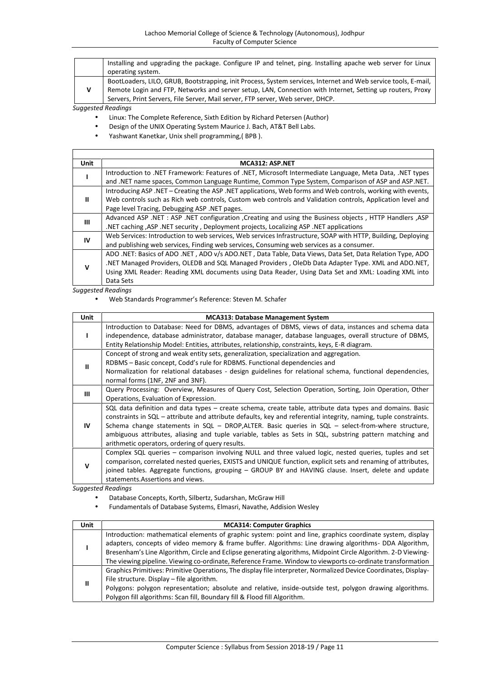| Installing and upgrading the package. Configure IP and telnet, ping. Installing apache web server for Linux    |
|----------------------------------------------------------------------------------------------------------------|
| operating system.                                                                                              |
| BootLoaders, LILO, GRUB, Bootstrapping, init Process, System services, Internet and Web service tools, E-mail, |
| Remote Login and FTP, Networks and server setup, LAN, Connection with Internet, Setting up routers, Proxy      |
| Servers, Print Servers, File Server, Mail server, FTP server, Web server, DHCP.                                |

 $\sqrt{ }$ 

- Linux: The Complete Reference, Sixth Edition by Richard Petersen (Author)
- Design of the UNIX Operating System Maurice J. Bach, AT&T Bell Labs.
- Yashwant Kanetkar, Unix shell programming,( BPB ).

| Unit | MCA312: ASP.NET                                                                                              |
|------|--------------------------------------------------------------------------------------------------------------|
|      | Introduction to .NET Framework: Features of .NET, Microsoft Intermediate Language, Meta Data, .NET types     |
|      | and .NET name spaces, Common Language Runtime, Common Type System, Comparison of ASP and ASP.NET.            |
|      | Introducing ASP, NET – Creating the ASP, NET applications, Web forms and Web controls, working with events,  |
| ш    | Web controls such as Rich web controls, Custom web controls and Validation controls, Application level and   |
|      | Page level Tracing, Debugging ASP. NET pages.                                                                |
|      | Advanced ASP .NET : ASP .NET configuration , Creating and using the Business objects, HTTP Handlers , ASP    |
| Ш    | .NET caching ,ASP .NET security, Deployment projects, Localizing ASP .NET applications                       |
| IV   | Web Services: Introduction to web services, Web services Infrastructure, SOAP with HTTP, Building, Deploying |
|      | and publishing web services, Finding web services, Consuming web services as a consumer.                     |
|      | ADO .NET: Basics of ADO .NET, ADO v/s ADO.NET, Data Table, Data Views, Data Set, Data Relation Type, ADO     |
| v    | NET Managed Providers, OLEDB and SQL Managed Providers, OleDb Data Adapter Type. XML and ADO.NET,            |
|      | Using XML Reader: Reading XML documents using Data Reader, Using Data Set and XML: Loading XML into          |
|      | Data Sets                                                                                                    |

┑

*Suggested Readings*

Web Standards Programmer's Reference: Steven M. Schafer

| Unit | <b>MCA313: Database Management System</b>                                                                        |
|------|------------------------------------------------------------------------------------------------------------------|
|      | Introduction to Database: Need for DBMS, advantages of DBMS, views of data, instances and schema data            |
|      | independence, database administrator, database manager, database languages, overall structure of DBMS,           |
|      | Entity Relationship Model: Entities, attributes, relationship, constraints, keys, E-R diagram.                   |
|      | Concept of strong and weak entity sets, generalization, specialization and aggregation.                          |
| Ш    | RDBMS - Basic concept, Codd's rule for RDBMS. Functional dependencies and                                        |
|      | Normalization for relational databases - design guidelines for relational schema, functional dependencies,       |
|      | normal forms (1NF, 2NF and 3NF).                                                                                 |
| Ш    | Query Processing: Overview, Measures of Query Cost, Selection Operation, Sorting, Join Operation, Other          |
|      | Operations, Evaluation of Expression.                                                                            |
|      | SQL data definition and data types – create schema, create table, attribute data types and domains. Basic        |
|      | constraints in SQL – attribute and attribute defaults, key and referential integrity, naming, tuple constraints. |
| IV   | Schema change statements in $SQL$ - DROP, ALTER. Basic queries in $SQL$ - select-from-where structure,           |
|      | ambiguous attributes, aliasing and tuple variable, tables as Sets in SQL, substring pattern matching and         |
|      | arithmetic operators, ordering of query results.                                                                 |
|      | Complex SQL queries – comparison involving NULL and three valued logic, nested queries, tuples and set           |
| v    | comparison, correlated nested queries, EXISTS and UNIQUE function, explicit sets and renaming of attributes,     |
|      | joined tables. Aggregate functions, grouping – GROUP BY and HAVING clause. Insert, delete and update             |
|      | statements. Assertions and views.                                                                                |

- Database Concepts, Korth, Silbertz, Sudarshan, McGraw Hill
- Fundamentals of Database Systems, Elmasri, Navathe, Addision Wesley

| Unit | <b>MCA314: Computer Graphics</b>                                                                                                                                                                                                                                                                                                                                                                                                                    |
|------|-----------------------------------------------------------------------------------------------------------------------------------------------------------------------------------------------------------------------------------------------------------------------------------------------------------------------------------------------------------------------------------------------------------------------------------------------------|
|      | Introduction: mathematical elements of graphic system: point and line, graphics coordinate system, display<br>adapters, concepts of video memory & frame buffer. Algorithms: Line drawing algorithms- DDA Algorithm,<br>Bresenham's Line Algorithm, Circle and Eclipse generating algorithms, Midpoint Circle Algorithm. 2-D Viewing-<br>The viewing pipeline. Viewing co-ordinate, Reference Frame. Window to viewports co-ordinate transformation |
| Ш    | Graphics Primitives: Primitive Operations, The display file interpreter, Normalized Device Coordinates, Display-<br>File structure. Display - file algorithm.<br>Polygons: polygon representation; absolute and relative, inside-outside test, polygon drawing algorithms.<br>Polygon fill algorithms: Scan fill, Boundary fill & Flood fill Algorithm.                                                                                             |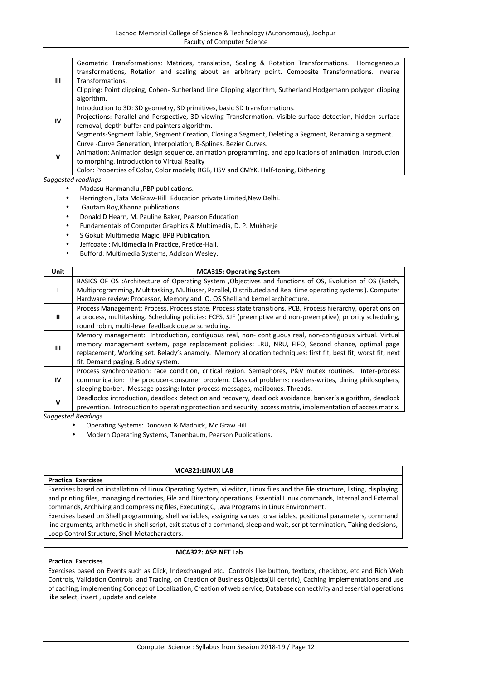| Ш           | Geometric Transformations: Matrices, translation, Scaling & Rotation Transformations. Homogeneous<br>transformations, Rotation and scaling about an arbitrary point. Composite Transformations. Inverse<br>Transformations.<br>Clipping: Point clipping, Cohen- Sutherland Line Clipping algorithm, Sutherland Hodgemann polygon clipping<br>algorithm. |
|-------------|---------------------------------------------------------------------------------------------------------------------------------------------------------------------------------------------------------------------------------------------------------------------------------------------------------------------------------------------------------|
| IV          | Introduction to 3D: 3D geometry, 3D primitives, basic 3D transformations.<br>Projections: Parallel and Perspective, 3D viewing Transformation. Visible surface detection, hidden surface<br>removal, depth buffer and painters algorithm.<br>Segments-Segment Table, Segment Creation, Closing a Segment, Deleting a Segment, Renaming a segment.       |
| $\mathbf v$ | Curve - Curve Generation, Interpolation, B-Splines, Bezier Curves.<br>Animation: Animation design sequence, animation programming, and applications of animation. Introduction<br>to morphing. Introduction to Virtual Reality<br>Color: Properties of Color, Color models; RGB, HSV and CMYK. Half-toning, Dithering.                                  |

- Madasu Hanmandlu ,PBP publications.
- Herrington ,Tata McGraw-Hill Education private Limited,New Delhi.
- Gautam Roy,Khanna publications.
- Donald D Hearn, M. Pauline Baker, Pearson Education
- Fundamentals of Computer Graphics & Multimedia, D. P. Mukherje
- S Gokul: Multimedia Magic, BPB Publication.
- Jeffcoate : Multimedia in Practice, Pretice-Hall.
- Bufford: Multimedia Systems, Addison Wesley.

| Unit        | <b>MCA315: Operating System</b>                                                                                                                                                                                                                                                                                                                                   |
|-------------|-------------------------------------------------------------------------------------------------------------------------------------------------------------------------------------------------------------------------------------------------------------------------------------------------------------------------------------------------------------------|
|             | BASICS OF OS :Architecture of Operating System , Objectives and functions of OS, Evolution of OS (Batch,                                                                                                                                                                                                                                                          |
|             | Multiprogramming, Multitasking, Multiuser, Parallel, Distributed and Real time operating systems). Computer<br>Hardware review: Processor, Memory and IO. OS Shell and kernel architecture.                                                                                                                                                                       |
| Ш           | Process Management: Process, Process state, Process state transitions, PCB, Process hierarchy, operations on<br>a process, multitasking. Scheduling policies: FCFS, SJF (preemptive and non-preemptive), priority scheduling,<br>round robin, multi-level feedback queue scheduling.                                                                              |
| Ш           | Memory management: Introduction, contiguous real, non-contiguous real, non-contiguous virtual. Virtual<br>memory management system, page replacement policies: LRU, NRU, FIFO, Second chance, optimal page<br>replacement, Working set. Belady's anamoly. Memory allocation techniques: first fit, best fit, worst fit, next<br>fit. Demand paging. Buddy system. |
| <b>IV</b>   | Process synchronization: race condition, critical region. Semaphores, P&V mutex routines. Inter-process<br>communication: the producer-consumer problem. Classical problems: readers-writes, dining philosophers,<br>sleeping barber. Message passing: Inter-process messages, mailboxes. Threads.                                                                |
| $\mathbf v$ | Deadlocks: introduction, deadlock detection and recovery, deadlock avoidance, banker's algorithm, deadlock<br>prevention. Introduction to operating protection and security, access matrix, implementation of access matrix.                                                                                                                                      |
|             | <b>Suggested Readings</b>                                                                                                                                                                                                                                                                                                                                         |

- Operating Systems: Donovan & Madnick, Mc Graw Hill
- Modern Operating Systems, Tanenbaum, Pearson Publications.

# **Practical Exercises**

#### **MCA321:LINUX LAB**

Exercises based on installation of Linux Operating System, vi editor, Linux files and the file structure, listing, displaying and printing files, managing directories, File and Directory operations, Essential Linux commands, Internal and External commands, Archiving and compressing files, Executing C, Java Programs in Linux Environment.

Exercises based on Shell programming, shell variables, assigning values to variables, positional parameters, command line arguments, arithmetic in shell script, exit status of a command, sleep and wait, script termination, Taking decisions, Loop Control Structure, Shell Metacharacters.

## **Practical Exercises**

## **MCA322: ASP.NET Lab**

Exercises based on Events such as Click, Indexchanged etc, Controls like button, textbox, checkbox, etc and Rich Web Controls, Validation Controls and Tracing, on Creation of Business Objects(UI centric), Caching Implementations and use of caching, implementing Concept of Localization, Creation of web service, Database connectivity and essential operations like select, insert , update and delete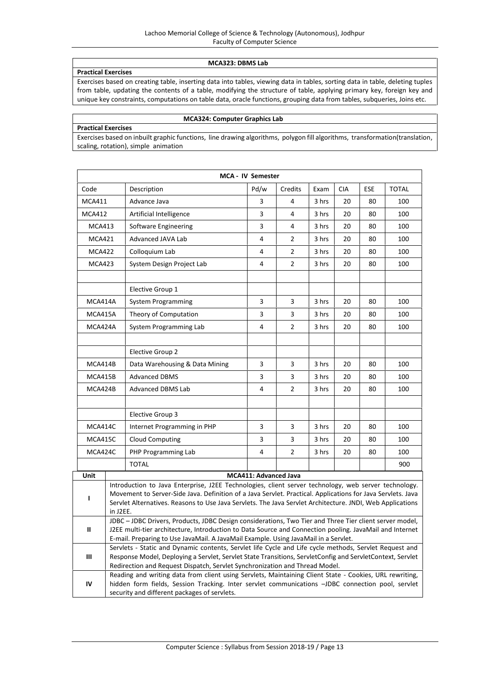## **MCA323: DBMS Lab**

# **Practical Exercises**

Exercises based on creating table, inserting data into tables, viewing data in tables, sorting data in table, deleting tuples from table, updating the contents of a table, modifying the structure of table, applying primary key, foreign key and unique key constraints, computations on table data, oracle functions, grouping data from tables, subqueries, Joins etc.

# **MCA324: Computer Graphics Lab**

**Practical Exercises** Exercises based on inbuilt graphic functions, line drawing algorithms, polygon fill algorithms, transformation(translation, scaling, rotation), simple animation

|                                    |                                                                                                                                                                                                                                                                                                                                              |                                | <b>MCA - IV Semester</b> |                |       |            |     |              |
|------------------------------------|----------------------------------------------------------------------------------------------------------------------------------------------------------------------------------------------------------------------------------------------------------------------------------------------------------------------------------------------|--------------------------------|--------------------------|----------------|-------|------------|-----|--------------|
| Code                               |                                                                                                                                                                                                                                                                                                                                              | Description                    | Pd/w                     | Credits        | Exam  | <b>CIA</b> | ESE | <b>TOTAL</b> |
| <b>MCA411</b>                      |                                                                                                                                                                                                                                                                                                                                              | Advance Java                   | 3                        | 4              | 3 hrs | 20         | 80  | 100          |
| <b>MCA412</b>                      |                                                                                                                                                                                                                                                                                                                                              | Artificial Intelligence        | 3                        | 4              | 3 hrs | 20         | 80  | 100          |
| <b>MCA413</b>                      |                                                                                                                                                                                                                                                                                                                                              | Software Engineering           | 3                        | 4              | 3 hrs | 20         | 80  | 100          |
| <b>MCA421</b>                      |                                                                                                                                                                                                                                                                                                                                              | Advanced JAVA Lab              | 4                        | $\overline{2}$ | 3 hrs | 20         | 80  | 100          |
| <b>MCA422</b>                      |                                                                                                                                                                                                                                                                                                                                              | Colloquium Lab                 | 4                        | 2              | 3 hrs | 20         | 80  | 100          |
| <b>MCA423</b>                      |                                                                                                                                                                                                                                                                                                                                              | System Design Project Lab      | 4                        | 2              | 3 hrs | 20         | 80  | 100          |
|                                    |                                                                                                                                                                                                                                                                                                                                              | Elective Group 1               |                          |                |       |            |     |              |
| MCA414A                            |                                                                                                                                                                                                                                                                                                                                              | <b>System Programming</b>      | 3                        | 3              | 3 hrs | 20         | 80  | 100          |
| MCA415A                            |                                                                                                                                                                                                                                                                                                                                              | Theory of Computation          | 3                        | 3              | 3 hrs | 20         | 80  | 100          |
| MCA424A                            |                                                                                                                                                                                                                                                                                                                                              | System Programming Lab         | 4                        | 2              | 3 hrs | 20         | 80  | 100          |
|                                    |                                                                                                                                                                                                                                                                                                                                              | Elective Group 2               |                          |                |       |            |     |              |
| MCA414B                            |                                                                                                                                                                                                                                                                                                                                              | Data Warehousing & Data Mining | 3                        | 3              | 3 hrs | 20         | 80  | 100          |
| MCA415B                            |                                                                                                                                                                                                                                                                                                                                              | <b>Advanced DBMS</b>           | 3                        | 3              | 3 hrs | 20         | 80  | 100          |
| MCA424B                            |                                                                                                                                                                                                                                                                                                                                              | <b>Advanced DBMS Lab</b>       | $\overline{4}$           | $\overline{2}$ | 3 hrs | 20         | 80  | 100          |
|                                    |                                                                                                                                                                                                                                                                                                                                              | Elective Group 3               |                          |                |       |            |     |              |
| MCA414C                            |                                                                                                                                                                                                                                                                                                                                              | Internet Programming in PHP    | 3                        | 3              | 3 hrs | 20         | 80  | 100          |
| MCA415C                            |                                                                                                                                                                                                                                                                                                                                              | <b>Cloud Computing</b>         | 3                        | 3              | 3 hrs | 20         | 80  | 100          |
| MCA424C                            |                                                                                                                                                                                                                                                                                                                                              | PHP Programming Lab            | 4                        | $\overline{2}$ | 3 hrs | 20         | 80  | 100          |
|                                    |                                                                                                                                                                                                                                                                                                                                              | <b>TOTAL</b>                   |                          |                |       |            |     | 900          |
| Unit                               |                                                                                                                                                                                                                                                                                                                                              |                                | MCA411: Advanced Java    |                |       |            |     |              |
| L                                  | Introduction to Java Enterprise, J2EE Technologies, client server technology, web server technology.<br>Movement to Server-Side Java. Definition of a Java Servlet. Practical. Applications for Java Servlets. Java<br>Servlet Alternatives. Reasons to Use Java Servlets. The Java Servlet Architecture. JNDI, Web Applications<br>in J2EE. |                                |                          |                |       |            |     |              |
| Ш                                  | JDBC - JDBC Drivers, Products, JDBC Design considerations, Two Tier and Three Tier client server model,<br>J2EE multi-tier architecture, Introduction to Data Source and Connection pooling. JavaMail and Internet<br>E-mail. Preparing to Use JavaMail. A JavaMail Example. Using JavaMail in a Servlet.                                    |                                |                          |                |       |            |     |              |
| $\ensuremath{\mathsf{III}}\xspace$ | Servlets - Static and Dynamic contents, Servlet life Cycle and Life cycle methods, Servlet Request and<br>Response Model, Deploying a Servlet, Servlet State Transitions, ServletConfig and ServletContext, Servlet<br>Redirection and Request Dispatch, Servlet Synchronization and Thread Model.                                           |                                |                          |                |       |            |     |              |
| IV                                 | Reading and writing data from client using Servlets, Maintaining Client State - Cookies, URL rewriting,<br>hidden form fields, Session Tracking. Inter servlet communications -JDBC connection pool, servlet<br>security and different packages of servlets.                                                                                 |                                |                          |                |       |            |     |              |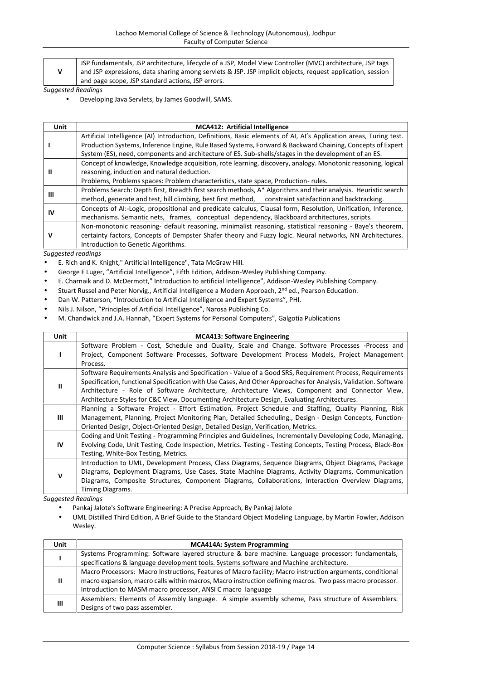| JSP fundamentals, JSP architecture, lifecycle of a JSP, Model View Controller (MVC) architecture, JSP tags |
|------------------------------------------------------------------------------------------------------------|
| and JSP expressions, data sharing among servlets & JSP. JSP implicit objects, request application, session |
| and page scope, JSP standard actions, JSP errors.                                                          |

Developing Java Servlets, by James Goodwill, SAMS.

| <b>Unit</b> | <b>MCA412: Artificial Intelligence</b>                                                                             |
|-------------|--------------------------------------------------------------------------------------------------------------------|
|             | Artificial Intelligence (AI) Introduction, Definitions, Basic elements of AI, AI's Application areas, Turing test. |
|             | Production Systems, Inference Engine, Rule Based Systems, Forward & Backward Chaining, Concepts of Expert          |
|             | System (ES), need, components and architecture of ES. Sub-shells/stages in the development of an ES.               |
|             | Concept of knowledge, Knowledge acquisition, rote learning, discovery, analogy. Monotonic reasoning, logical       |
| Ш           | reasoning, induction and natural deduction.                                                                        |
|             | Problems, Problems spaces: Problem characteristics, state space, Production-rules.                                 |
|             | Problems Search: Depth first, Breadth first search methods, A* Algorithms and their analysis. Heuristic search     |
| Ш           | method, generate and test, hill climbing, best first method, constraint satisfaction and backtracking.             |
| ιv          | Concepts of AI:-Logic, propositional and predicate calculus, Clausal form, Resolution, Unification, Inference,     |
|             | mechanisms. Semantic nets, frames, conceptual dependency, Blackboard architectures, scripts.                       |
|             | Non-monotonic reasoning- default reasoning, minimalist reasoning, statistical reasoning - Baye's theorem,          |
| ν           | certainty factors, Concepts of Dempster Shafer theory and Fuzzy logic. Neural networks, NN Architectures.          |
|             | Introduction to Genetic Algorithms.                                                                                |

*Suggested readings*

- E. Rich and K. Knight," Artificial Intelligence", Tata McGraw Hill.
- George F Luger, "Artificial Intelligence", Fifth Edition, Addison-Wesley Publishing Company.
- E. Charnaik and D. McDermott," Introduction to artificial Intelligence", Addison-Wesley Publishing Company.
- Stuart Russel and Peter Norvig., Artificial Intelligence a Modern Approach, 2<sup>nd</sup> ed., Pearson Education.
- Dan W. Patterson, "Introduction to Artificial Intelligence and Expert Systems", PHI.
- Nils J. Nilson, "Principles of Artificial Intelligence", Narosa Publishing Co.
- M. Chandwick and J.A. Hannah, "Expert Systems for Personal Computers", Galgotia Publications

| <b>Unit</b> | <b>MCA413: Software Engineering</b>                                                                             |
|-------------|-----------------------------------------------------------------------------------------------------------------|
|             | Software Problem - Cost, Schedule and Quality, Scale and Change. Software Processes -Process and                |
|             | Project, Component Software Processes, Software Development Process Models, Project Management                  |
|             | Process.                                                                                                        |
|             | Software Requirements Analysis and Specification - Value of a Good SRS, Requirement Process, Requirements       |
| Ш           | Specification, functional Specification with Use Cases, And Other Approaches for Analysis, Validation. Software |
|             | Architecture - Role of Software Architecture, Architecture Views, Component and Connector View,                 |
|             | Architecture Styles for C&C View, Documenting Architecture Design, Evaluating Architectures.                    |
|             | Planning a Software Project - Effort Estimation, Project Schedule and Staffing, Quality Planning, Risk          |
| Ш           | Management, Planning, Project Monitoring Plan, Detailed Scheduling., Design - Design Concepts, Function-        |
|             | Oriented Design, Object-Oriented Design, Detailed Design, Verification, Metrics.                                |
|             | Coding and Unit Testing - Programming Principles and Guidelines, Incrementally Developing Code, Managing,       |
| IV          | Evolving Code, Unit Testing, Code Inspection, Metrics. Testing - Testing Concepts, Testing Process, Black-Box   |
|             | Testing, White-Box Testing, Metrics.                                                                            |
|             | Introduction to UML, Development Process, Class Diagrams, Sequence Diagrams, Object Diagrams, Package           |
| v           | Diagrams, Deployment Diagrams, Use Cases, State Machine Diagrams, Activity Diagrams, Communication              |
|             | Diagrams, Composite Structures, Component Diagrams, Collaborations, Interaction Overview Diagrams,              |
|             | Timing Diagrams.                                                                                                |

- Pankaj Jalote's Software Engineering: A Precise Approach, By Pankaj Jalote
- UML Distilled Third Edition, A Brief Guide to the Standard Object Modeling Language, by Martin Fowler, Addison Wesley.

| <b>Unit</b> | <b>MCA414A: System Programming</b>                                                                                                                                                                                                                                                    |
|-------------|---------------------------------------------------------------------------------------------------------------------------------------------------------------------------------------------------------------------------------------------------------------------------------------|
|             | Systems Programming: Software layered structure & bare machine. Language processor: fundamentals,<br>specifications & language development tools. Systems software and Machine architecture.                                                                                          |
|             | Macro Processors: Macro Instructions, Features of Macro facility; Macro instruction arguments, conditional<br>macro expansion, macro calls within macros, Macro instruction defining macros. Two pass macro processor.<br>Introduction to MASM macro processor, ANSI C macro language |
| Ш           | Assemblers: Elements of Assembly language. A simple assembly scheme, Pass structure of Assemblers.<br>Designs of two pass assembler.                                                                                                                                                  |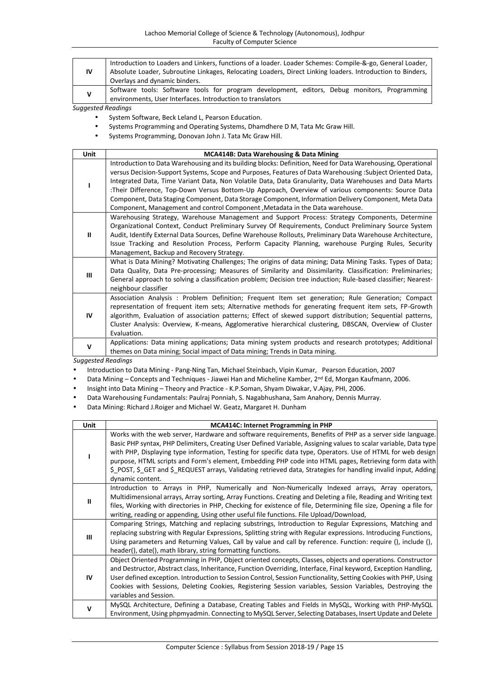| 1V | Introduction to Loaders and Linkers, functions of a loader. Loader Schemes: Compile-&-go, General Loader,<br>Absolute Loader, Subroutine Linkages, Relocating Loaders, Direct Linking loaders. Introduction to Binders,<br>Overlays and dynamic binders. |
|----|----------------------------------------------------------------------------------------------------------------------------------------------------------------------------------------------------------------------------------------------------------|
| v  | Software tools: Software tools for program development, editors, Debug monitors, Programming<br>environments, User Interfaces. Introduction to translators                                                                                               |

- System Software, Beck Leland L, Pearson Education.
- Systems Programming and Operating Systems, Dhamdhere D M, Tata Mc Graw Hill.
- Systems Programming, Donovan John J. Tata Mc Graw Hill.

| Unit          | MCA414B: Data Warehousing & Data Mining                                                                        |
|---------------|----------------------------------------------------------------------------------------------------------------|
|               | Introduction to Data Warehousing and its building blocks: Definition, Need for Data Warehousing, Operational   |
|               | versus Decision-Support Systems, Scope and Purposes, Features of Data Warehousing : Subject Oriented Data,     |
|               | Integrated Data, Time Variant Data, Non Volatile Data, Data Granularity, Data Warehouses and Data Marts        |
|               | :Their Difference, Top-Down Versus Bottom-Up Approach, Overview of various components: Source Data             |
|               | Component, Data Staging Component, Data Storage Component, Information Delivery Component, Meta Data           |
|               | Component, Management and control Component, Metadata in the Data warehouse.                                   |
|               | Warehousing Strategy, Warehouse Management and Support Process: Strategy Components, Determine                 |
|               | Organizational Context, Conduct Preliminary Survey Of Requirements, Conduct Preliminary Source System          |
| $\mathbf{II}$ | Audit, Identify External Data Sources, Define Warehouse Rollouts, Preliminary Data Warehouse Architecture,     |
|               | Issue Tracking and Resolution Process, Perform Capacity Planning, warehouse Purging Rules, Security            |
|               | Management, Backup and Recovery Strategy.                                                                      |
|               | What is Data Mining? Motivating Challenges; The origins of data mining; Data Mining Tasks. Types of Data;      |
| Ш             | Data Quality, Data Pre-processing; Measures of Similarity and Dissimilarity. Classification: Preliminaries;    |
|               | General approach to solving a classification problem; Decision tree induction; Rule-based classifier; Nearest- |
|               | neighbour classifier                                                                                           |
|               | Association Analysis: Problem Definition; Frequent Item set generation; Rule Generation; Compact               |
|               | representation of frequent item sets; Alternative methods for generating frequent item sets, FP-Growth         |
| IV            | algorithm, Evaluation of association patterns; Effect of skewed support distribution; Sequential patterns,     |
|               | Cluster Analysis: Overview, K-means, Agglomerative hierarchical clustering, DBSCAN, Overview of Cluster        |
|               | Evaluation.                                                                                                    |
| v             | Applications: Data mining applications; Data mining system products and research prototypes; Additional        |
|               | themes on Data mining; Social impact of Data mining; Trends in Data mining.                                    |

*Suggested Readings*

Introduction to Data Mining - Pang-Ning Tan, Michael Steinbach, Vipin Kumar, Pearson Education, 2007

Data Mining – Concepts and Techniques - Jiawei Han and Micheline Kamber, 2<sup>nd</sup> Ed, Morgan Kaufmann, 2006.

- Insight into Data Mining Theory and Practice K.P.Soman, Shyam Diwakar, V.Ajay, PHI, 2006.
- Data Warehousing Fundamentals: Paulraj Ponniah, S. Nagabhushana, Sam Anahory, Dennis Murray.

Data Mining: Richard J.Roiger and Michael W. Geatz, Margaret H. Dunham

| <b>Unit</b>   | <b>MCA414C: Internet Programming in PHP</b>                                                                                                                                                                                                                                                                                                                                                                                                                                                                                                                                                     |  |  |  |  |  |
|---------------|-------------------------------------------------------------------------------------------------------------------------------------------------------------------------------------------------------------------------------------------------------------------------------------------------------------------------------------------------------------------------------------------------------------------------------------------------------------------------------------------------------------------------------------------------------------------------------------------------|--|--|--|--|--|
|               | Works with the web server, Hardware and software requirements, Benefits of PHP as a server side language.<br>Basic PHP syntax, PHP Delimiters, Creating User Defined Variable, Assigning values to scalar variable, Data type<br>with PHP, Displaying type information, Testing for specific data type, Operators. Use of HTML for web design<br>purpose, HTML scripts and Form's element, Embedding PHP code into HTML pages, Retrieving form data with<br>\$ POST, \$ GET and \$_REQUEST arrays, Validating retrieved data, Strategies for handling invalid input, Adding<br>dynamic content. |  |  |  |  |  |
| $\mathbf{II}$ | Introduction to Arrays in PHP, Numerically and Non-Numerically Indexed arrays, Array operators,<br>Multidimensional arrays, Array sorting, Array Functions. Creating and Deleting a file, Reading and Writing text<br>files, Working with directories in PHP, Checking for existence of file, Determining file size, Opening a file for<br>writing, reading or appending, Using other useful file functions. File Upload/Download,                                                                                                                                                              |  |  |  |  |  |
| Ш             | Comparing Strings, Matching and replacing substrings, Introduction to Regular Expressions, Matching and<br>replacing substring with Regular Expressions, Splitting string with Regular expressions. Introducing Functions,<br>Using parameters and Returning Values, Call by value and call by reference. Function: require (), include (),<br>header(), date(), math library, string formatting functions.                                                                                                                                                                                     |  |  |  |  |  |
| IV            | Object Oriented Programming in PHP, Object oriented concepts, Classes, objects and operations. Constructor<br>and Destructor, Abstract class, Inheritance, Function Overriding, Interface, Final keyword, Exception Handling,<br>User defined exception. Introduction to Session Control, Session Functionality, Setting Cookies with PHP, Using<br>Cookies with Sessions, Deleting Cookies, Registering Session variables, Session Variables, Destroying the<br>variables and Session.                                                                                                         |  |  |  |  |  |
| $\mathbf v$   | MySQL Architecture, Defining a Database, Creating Tables and Fields in MySQL, Working with PHP-MySQL<br>Environment, Using phpmyadmin. Connecting to MySQL Server, Selecting Databases, Insert Update and Delete                                                                                                                                                                                                                                                                                                                                                                                |  |  |  |  |  |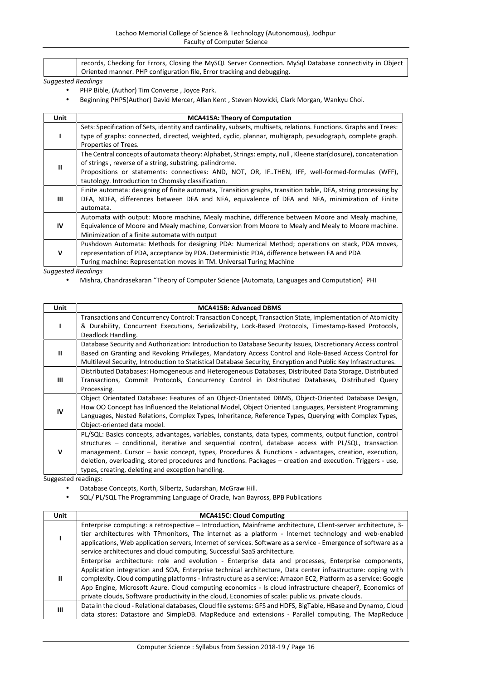| records, Checking for Errors, Closing the MySQL Server Connection. MySql Database connectivity in Object |  |
|----------------------------------------------------------------------------------------------------------|--|
| Oriented manner. PHP configuration file, Error tracking and debugging.                                   |  |

- PHP Bible, (Author) Tim Converse , Joyce Park.
- Beginning PHP5(Author) David Mercer, Allan Kent , Steven Nowicki, Clark Morgan, Wankyu Choi.

| <b>Unit</b> | <b>MCA415A: Theory of Computation</b>                                                                                                                                                                                          |
|-------------|--------------------------------------------------------------------------------------------------------------------------------------------------------------------------------------------------------------------------------|
|             | Sets: Specification of Sets, identity and cardinality, subsets, multisets, relations. Functions. Graphs and Trees:<br>type of graphs: connected, directed, weighted, cyclic, plannar, multigraph, pesudograph, complete graph. |
|             | Properties of Trees.                                                                                                                                                                                                           |
|             | The Central concepts of automata theory: Alphabet, Strings: empty, null, Kleene star(closure), concatenation                                                                                                                   |
| Ш           | of strings, reverse of a string, substring, palindrome.                                                                                                                                                                        |
|             | Propositions or statements: connectives: AND, NOT, OR, IFTHEN, IFF, well-formed-formulas (WFF),                                                                                                                                |
|             | tautology. Introduction to Chomsky classification.                                                                                                                                                                             |
|             | Finite automata: designing of finite automata, Transition graphs, transition table, DFA, string processing by                                                                                                                  |
| Ш           | DFA, NDFA, differences between DFA and NFA, equivalence of DFA and NFA, minimization of Finite                                                                                                                                 |
|             | automata.                                                                                                                                                                                                                      |
|             | Automata with output: Moore machine, Mealy machine, difference between Moore and Mealy machine,                                                                                                                                |
| <b>IV</b>   | Equivalence of Moore and Mealy machine, Conversion from Moore to Mealy and Mealy to Moore machine.                                                                                                                             |
|             | Minimization of a finite automata with output                                                                                                                                                                                  |
|             | Pushdown Automata: Methods for designing PDA: Numerical Method; operations on stack, PDA moves,                                                                                                                                |
| v           | representation of PDA, acceptance by PDA. Deterministic PDA, difference between FA and PDA                                                                                                                                     |
|             | Turing machine: Representation moves in TM. Universal Turing Machine                                                                                                                                                           |

*Suggested Readings*

Mishra, Chandrasekaran "Theory of Computer Science (Automata, Languages and Computation) PHI

| <b>Unit</b>         | <b>MCA415B: Advanced DBMS</b>                                                                                  |  |  |  |  |  |
|---------------------|----------------------------------------------------------------------------------------------------------------|--|--|--|--|--|
|                     | Transactions and Concurrency Control: Transaction Concept, Transaction State, Implementation of Atomicity      |  |  |  |  |  |
|                     | & Durability, Concurrent Executions, Serializability, Lock-Based Protocols, Timestamp-Based Protocols,         |  |  |  |  |  |
|                     | Deadlock Handling.                                                                                             |  |  |  |  |  |
|                     | Database Security and Authorization: Introduction to Database Security Issues, Discretionary Access control    |  |  |  |  |  |
| Ш                   | Based on Granting and Revoking Privileges, Mandatory Access Control and Role-Based Access Control for          |  |  |  |  |  |
|                     | Multilevel Security, Introduction to Statistical Database Security, Encryption and Public Key Infrastructures. |  |  |  |  |  |
|                     | Distributed Databases: Homogeneous and Heterogeneous Databases, Distributed Data Storage, Distributed          |  |  |  |  |  |
| Ш                   | Transactions, Commit Protocols, Concurrency Control in Distributed Databases, Distributed Query                |  |  |  |  |  |
|                     | Processing.                                                                                                    |  |  |  |  |  |
|                     | Object Orientated Database: Features of an Object-Orientated DBMS, Object-Oriented Database Design,            |  |  |  |  |  |
| IV                  | How OO Concept has Influenced the Relational Model, Object Oriented Languages, Persistent Programming          |  |  |  |  |  |
|                     | Languages, Nested Relations, Complex Types, Inheritance, Reference Types, Querying with Complex Types,         |  |  |  |  |  |
|                     | Object-oriented data model.                                                                                    |  |  |  |  |  |
|                     | PL/SQL: Basics concepts, advantages, variables, constants, data types, comments, output function, control      |  |  |  |  |  |
|                     | structures - conditional, iterative and sequential control, database access with PL/SQL, transaction           |  |  |  |  |  |
| $\mathbf v$         | management. Cursor - basic concept, types, Procedures & Functions - advantages, creation, execution,           |  |  |  |  |  |
|                     | deletion, overloading, stored procedures and functions. Packages – creation and execution. Triggers - use,     |  |  |  |  |  |
|                     | types, creating, deleting and exception handling.                                                              |  |  |  |  |  |
| Suggested readings: |                                                                                                                |  |  |  |  |  |

iggested readings:

- Database Concepts, Korth, Silbertz, Sudarshan, McGraw Hill.
- SQL/ PL/SQL The Programming Language of Oracle, Ivan Bayross, BPB Publications

| <b>Unit</b> | <b>MCA415C: Cloud Computing</b>                                                                                                                                                                                                                                                                                                                                                                                                                                                                                                                       |
|-------------|-------------------------------------------------------------------------------------------------------------------------------------------------------------------------------------------------------------------------------------------------------------------------------------------------------------------------------------------------------------------------------------------------------------------------------------------------------------------------------------------------------------------------------------------------------|
|             | Enterprise computing: a retrospective – Introduction, Mainframe architecture, Client-server architecture, 3-<br>tier architectures with TPmonitors, The internet as a platform - Internet technology and web-enabled<br>applications, Web application servers, Internet of services. Software as a service - Emergence of software as a<br>service architectures and cloud computing, Successful SaaS architecture.                                                                                                                                   |
| Ш           | Enterprise architecture: role and evolution - Enterprise data and processes, Enterprise components,<br>Application integration and SOA, Enterprise technical architecture, Data center infrastructure: coping with<br>complexity. Cloud computing platforms - Infrastructure as a service: Amazon EC2, Platform as a service: Google<br>App Engine, Microsoft Azure. Cloud computing economics - Is cloud infrastructure cheaper?, Economics of<br>private clouds, Software productivity in the cloud, Economies of scale: public vs. private clouds. |
| Ш           | Data in the cloud - Relational databases, Cloud file systems: GFS and HDFS, BigTable, HBase and Dynamo, Cloud<br>data stores: Datastore and SimpleDB. MapReduce and extensions - Parallel computing, The MapReduce                                                                                                                                                                                                                                                                                                                                    |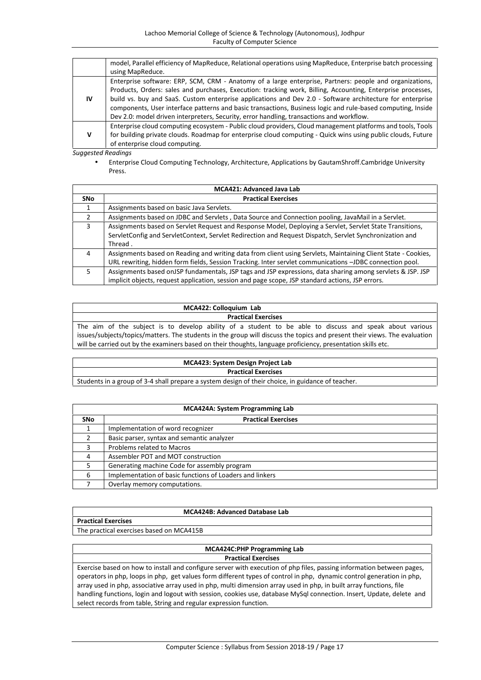|    | model, Parallel efficiency of MapReduce, Relational operations using MapReduce, Enterprise batch processing  |  |  |  |  |  |
|----|--------------------------------------------------------------------------------------------------------------|--|--|--|--|--|
|    | using MapReduce.                                                                                             |  |  |  |  |  |
|    | Enterprise software: ERP, SCM, CRM - Anatomy of a large enterprise, Partners: people and organizations,      |  |  |  |  |  |
| ΙV | Products, Orders: sales and purchases, Execution: tracking work, Billing, Accounting, Enterprise processes,  |  |  |  |  |  |
|    | build vs. buy and SaaS. Custom enterprise applications and Dev 2.0 - Software architecture for enterprise    |  |  |  |  |  |
|    | components, User interface patterns and basic transactions, Business logic and rule-based computing, Inside  |  |  |  |  |  |
|    | Dev 2.0: model driven interpreters, Security, error handling, transactions and workflow.                     |  |  |  |  |  |
|    | Enterprise cloud computing ecosystem - Public cloud providers, Cloud management platforms and tools, Tools   |  |  |  |  |  |
|    | for building private clouds. Roadmap for enterprise cloud computing - Quick wins using public clouds, Future |  |  |  |  |  |
|    | of enterprise cloud computing.                                                                               |  |  |  |  |  |

 Enterprise Cloud Computing Technology, Architecture, Applications by GautamShroff.Cambridge University Press.

| <b>MCA421: Advanced Java Lab</b> |                                                                                                               |  |  |  |
|----------------------------------|---------------------------------------------------------------------------------------------------------------|--|--|--|
| <b>SNo</b>                       | <b>Practical Exercises</b>                                                                                    |  |  |  |
|                                  | Assignments based on basic Java Servlets.                                                                     |  |  |  |
| 2                                | Assignments based on JDBC and Servlets, Data Source and Connection pooling, JavaMail in a Servlet.            |  |  |  |
| 3                                | Assignments based on Servlet Request and Response Model, Deploying a Servlet, Servlet State Transitions,      |  |  |  |
|                                  | ServletConfig and ServletContext, Servlet Redirection and Request Dispatch, Servlet Synchronization and       |  |  |  |
|                                  | Thread.                                                                                                       |  |  |  |
| 4                                | Assignments based on Reading and writing data from client using Servlets, Maintaining Client State - Cookies, |  |  |  |
|                                  | URL rewriting, hidden form fields, Session Tracking. Inter servlet communications -JDBC connection pool.      |  |  |  |
| 5                                | Assignments based on JSP fundamentals, JSP tags and JSP expressions, data sharing among servlets & JSP. JSP   |  |  |  |
|                                  | implicit objects, request application, session and page scope, JSP standard actions, JSP errors.              |  |  |  |

| MCA422: Colloquium Lab                                                                                                    |
|---------------------------------------------------------------------------------------------------------------------------|
| <b>Practical Exercises</b>                                                                                                |
| The aim of the subject is to develop ability of a student to be able to discuss and speak about various                   |
| issues/subjects/topics/matters. The students in the group will discuss the topics and present their views. The evaluation |
| will be carried out by the examiners based on their thoughts, language proficiency, presentation skills etc.              |

# **MCA423: System Design Project Lab Practical Exercises**

Students in a group of 3-4 shall prepare a system design of their choice, in guidance of teacher.

| <b>MCA424A: System Programming Lab</b> |                                                          |  |
|----------------------------------------|----------------------------------------------------------|--|
| <b>SNo</b>                             | <b>Practical Exercises</b>                               |  |
|                                        | Implementation of word recognizer                        |  |
|                                        | Basic parser, syntax and semantic analyzer               |  |
|                                        | Problems related to Macros                               |  |
| 4                                      | Assembler POT and MOT construction                       |  |
|                                        | Generating machine Code for assembly program             |  |
| 6                                      | Implementation of basic functions of Loaders and linkers |  |
|                                        | Overlay memory computations.                             |  |

## **MCA424B: Advanced Database Lab**

**Practical Exercises** The practical exercises based on MCA415B

## **MCA424C:PHP Programming Lab Practical Exercises**

Exercise based on how to install and configure server with execution of php files, passing information between pages, operators in php, loops in php, get values form different types of control in php, dynamic control generation in php, array used in php, associative array used in php, multi dimension array used in php, in built array functions, file handling functions, login and logout with session, cookies use, database MySql connection. Insert, Update, delete and select records from table, String and regular expression function.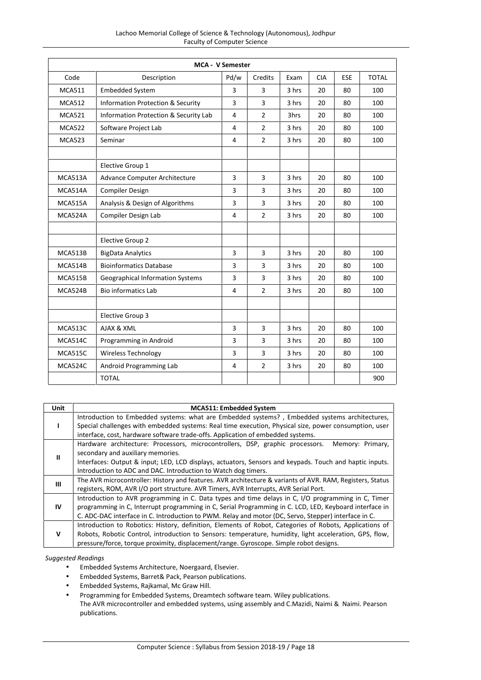| <b>MCA - V Semester</b> |                                         |      |                |       |            |            |              |
|-------------------------|-----------------------------------------|------|----------------|-------|------------|------------|--------------|
| Code                    | Description                             | Pd/w | Credits        | Exam  | <b>CIA</b> | <b>ESE</b> | <b>TOTAL</b> |
| <b>MCA511</b>           | <b>Embedded System</b>                  | 3    | 3              | 3 hrs | 20         | 80         | 100          |
| <b>MCA512</b>           | Information Protection & Security       | 3    | 3              | 3 hrs | 20         | 80         | 100          |
| <b>MCA521</b>           | Information Protection & Security Lab   | 4    | $\overline{2}$ | 3hrs  | 20         | 80         | 100          |
| <b>MCA522</b>           | Software Project Lab                    | 4    | $\overline{2}$ | 3 hrs | 20         | 80         | 100          |
| <b>MCA523</b>           | Seminar                                 | 4    | $\overline{2}$ | 3 hrs | 20         | 80         | 100          |
|                         | Elective Group 1                        |      |                |       |            |            |              |
| MCA513A                 | Advance Computer Architecture           | 3    | 3              | 3 hrs | 20         | 80         | 100          |
| MCA514A                 | <b>Compiler Design</b>                  | 3    | 3              | 3 hrs | 20         | 80         | 100          |
| MCA515A                 | Analysis & Design of Algorithms         | 3    | 3              | 3 hrs | 20         | 80         | 100          |
| MCA524A                 | Compiler Design Lab                     | 4    | $\overline{2}$ | 3 hrs | 20         | 80         | 100          |
|                         | Elective Group 2                        |      |                |       |            |            |              |
| MCA513B                 | <b>BigData Analytics</b>                | 3    | 3              | 3 hrs | 20         | 80         | 100          |
| MCA514B                 | <b>Bioinformatics Database</b>          | 3    | 3              | 3 hrs | 20         | 80         | 100          |
| MCA515B                 | <b>Geographical Information Systems</b> | 3    | 3              | 3 hrs | 20         | 80         | 100          |
| MCA524B                 | <b>Bio informatics Lab</b>              | 4    | $\overline{2}$ | 3 hrs | 20         | 80         | 100          |
|                         | Elective Group 3                        |      |                |       |            |            |              |
| MCA513C                 | AJAX & XML                              | 3    | 3              | 3 hrs | 20         | 80         | 100          |
| MCA514C                 | Programming in Android                  | 3    | 3              | 3 hrs | 20         | 80         | 100          |
| <b>MCA515C</b>          | Wireless Technology                     | 3    | 3              | 3 hrs | 20         | 80         | 100          |
| MCA524C                 | Android Programming Lab                 | 4    | $\overline{2}$ | 3 hrs | 20         | 80         | 100          |
|                         | <b>TOTAL</b>                            |      |                |       |            |            | 900          |

| <b>Unit</b> | <b>MCA511: Embedded System</b>                                                                                                                                                                                                                                                                                       |
|-------------|----------------------------------------------------------------------------------------------------------------------------------------------------------------------------------------------------------------------------------------------------------------------------------------------------------------------|
|             | Introduction to Embedded systems: what are Embedded systems?, Embedded systems architectures,<br>Special challenges with embedded systems: Real time execution, Physical size, power consumption, user<br>interface, cost, hardware software trade-offs. Application of embedded systems.                            |
| Ш           | Hardware architecture: Processors, microcontrollers, DSP, graphic processors.<br>Memory: Primary,<br>secondary and auxiliary memories.<br>Interfaces: Output & input; LED, LCD displays, actuators, Sensors and keypads. Touch and haptic inputs.<br>Introduction to ADC and DAC. Introduction to Watch dog timers.  |
| Ш           | The AVR microcontroller: History and features. AVR architecture & variants of AVR. RAM, Registers, Status<br>registers, ROM, AVR I/O port structure. AVR Timers, AVR Interrupts, AVR Serial Port.                                                                                                                    |
| IV          | Introduction to AVR programming in C. Data types and time delays in C, I/O programming in C, Timer<br>programming in C, Interrupt programming in C, Serial Programming in C. LCD, LED, Keyboard interface in<br>C. ADC-DAC interface in C. Introduction to PWM. Relay and motor (DC, Servo, Stepper) interface in C. |
| v           | Introduction to Robotics: History, definition, Elements of Robot, Categories of Robots, Applications of<br>Robots, Robotic Control, introduction to Sensors: temperature, humidity, light acceleration, GPS, flow,<br>pressure/force, torque proximity, displacement/range. Gyroscope. Simple robot designs.         |

- Embedded Systems Architecture, Noergaard, Elsevier.
- Embedded Systems, Barret& Pack, Pearson publications.
- Embedded Systems, Rajkamal, Mc Graw Hill.
- Programming for Embedded Systems, Dreamtech software team. Wiley publications.
- The AVR microcontroller and embedded systems, using assembly and C.Mazidi, Naimi & Naimi. Pearson publications.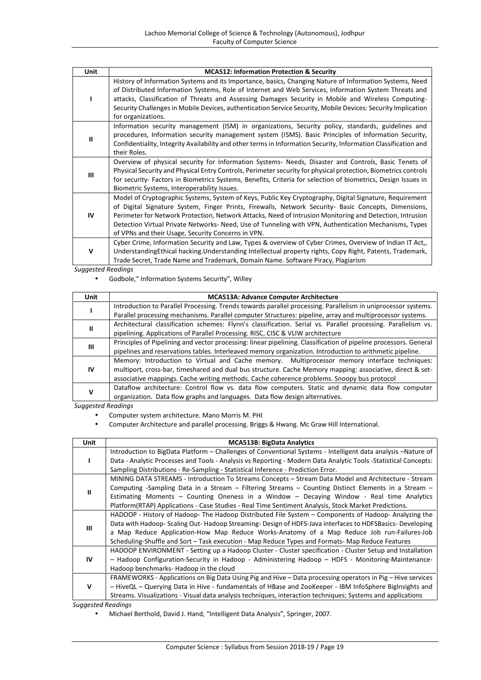| Unit         | <b>MCA512: Information Protection &amp; Security</b>                                                                                                                                                                                                                                                                                                                                                                                                                                       |
|--------------|--------------------------------------------------------------------------------------------------------------------------------------------------------------------------------------------------------------------------------------------------------------------------------------------------------------------------------------------------------------------------------------------------------------------------------------------------------------------------------------------|
|              | History of Information Systems and its Importance, basics, Changing Nature of Information Systems, Need<br>of Distributed Information Systems, Role of Internet and Web Services, Information System Threats and<br>attacks, Classification of Threats and Assessing Damages Security in Mobile and Wireless Computing-<br>Security Challenges in Mobile Devices, authentication Service Security, Mobile Devices: Security Implication<br>for organizations.                              |
| Ш            | Information security management (ISM) in organizations, Security policy, standards, guidelines and<br>procedures, Information security management system (ISMS). Basic Principles of Information Security,<br>Confidentiality, Integrity Availability and other terms in Information Security, Information Classification and<br>their Roles.                                                                                                                                              |
| Ш            | Overview of physical security for Information Systems- Needs, Disaster and Controls, Basic Tenets of<br>Physical Security and Physical Entry Controls, Perimeter security for physical protection, Biometrics controls<br>for security- Factors in Biometrics Systems, Benefits, Criteria for selection of biometrics, Design Issues in<br>Biometric Systems, Interoperability Issues.                                                                                                     |
| IV           | Model of Cryptographic Systems, System of Keys, Public Key Cryptography, Digital Signature, Requirement<br>of Digital Signature System, Finger Prints, Firewalls, Network Security- Basic Concepts, Dimensions,<br>Perimeter for Network Protection, Network Attacks, Need of Intrusion Monitoring and Detection, Intrusion<br>Detection Virtual Private Networks- Need, Use of Tunneling with VPN, Authentication Mechanisms, Types<br>of VPNs and their Usage, Security Concerns in VPN. |
| $\mathsf{V}$ | Cyber Crime, Information Security and Law, Types & overview of Cyber Crimes, Overview of Indian IT Act,,<br>Understanding Ethical hacking. Understanding Intellectual property rights, Copy Right, Patents, Trademark,<br>Trade Secret, Trade Name and Trademark, Domain Name. Software Piracy, Plagiarism                                                                                                                                                                                 |

Godbole," Information Systems Security", Willey

| Unit | <b>MCA513A: Advance Computer Architecture</b>                                                                     |  |  |  |  |  |
|------|-------------------------------------------------------------------------------------------------------------------|--|--|--|--|--|
|      | Introduction to Parallel Processing. Trends towards parallel processing. Parallelism in uniprocessor systems.     |  |  |  |  |  |
|      | Parallel processing mechanisms. Parallel computer Structures: pipeline, array and multiprocessor systems.         |  |  |  |  |  |
| Ш    | Architectural classification schemes: Flynn's classification. Serial vs. Parallel processing. Parallelism vs.     |  |  |  |  |  |
|      | pipelining. Applications of Parallel Processing. RISC, CISC & VLIW architecture                                   |  |  |  |  |  |
|      | Principles of Pipelining and vector processing: linear pipelining. Classification of pipeline processors. General |  |  |  |  |  |
| Ш    | pipelines and reservations tables. Interleaved memory organization. Introduction to arithmetic pipeline.          |  |  |  |  |  |
|      | Memory: Introduction to Virtual and Cache memory. Multiprocessor memory interface techniques:                     |  |  |  |  |  |
| 1V   | multiport, cross-bar, timeshared and dual bus structure. Cache Memory mapping: associative, direct & set-         |  |  |  |  |  |
|      | associative mappings. Cache writing methods. Cache coherence problems. Snoopy bus protocol                        |  |  |  |  |  |
|      | Dataflow architecture: Control flow vs. data flow computers. Static and dynamic data flow computer                |  |  |  |  |  |
| v    | organization. Data flow graphs and languages. Data flow design alternatives.                                      |  |  |  |  |  |

*Suggested Readings*

- Computer system architecture. Mano Morris M. PHI
- Computer Architecture and parallel processing. Briggs & Hwang. Mc Graw Hill International.

| <b>Unit</b>  | <b>MCA513B: BigData Analytics</b>                                                                               |
|--------------|-----------------------------------------------------------------------------------------------------------------|
|              | Introduction to BigData Platform - Challenges of Conventional Systems - Intelligent data analysis -Nature of    |
|              | Data - Analytic Processes and Tools - Analysis vs Reporting - Modern Data Analytic Tools -Statistical Concepts: |
|              | Sampling Distributions - Re-Sampling - Statistical Inference - Prediction Error.                                |
| $\mathbf{I}$ | MINING DATA STREAMS - Introduction To Streams Concepts – Stream Data Model and Architecture - Stream            |
|              | Computing -Sampling Data in a Stream – Filtering Streams – Counting Distinct Elements in a Stream –             |
|              | Estimating Moments - Counting Oneness in a Window - Decaying Window - Real time Analytics                       |
|              | Platform (RTAP) Applications - Case Studies - Real Time Sentiment Analysis, Stock Market Predictions.           |
|              | HADOOP - History of Hadoop- The Hadoop Distributed File System – Components of Hadoop- Analyzing the            |
| Ш            | Data with Hadoop-Scaling Out-Hadoop Streaming-Design of HDFS-Java interfaces to HDFSBasics-Developing           |
|              | a Map Reduce Application-How Map Reduce Works-Anatomy of a Map Reduce Job run-Failures-Job                      |
|              | Scheduling-Shuffle and Sort - Task execution - Map Reduce Types and Formats- Map Reduce Features                |
|              | HADOOP ENVIRONMENT - Setting up a Hadoop Cluster - Cluster specification - Cluster Setup and Installation       |
| IV           | - Hadoop Configuration-Security in Hadoop - Administering Hadoop - HDFS - Monitoring-Maintenance-               |
|              | Hadoop benchmarks-Hadoop in the cloud                                                                           |
|              | FRAMEWORKS - Applications on Big Data Using Pig and Hive – Data processing operators in Pig – Hive services     |
| v            | - HiveQL - Querying Data in Hive - fundamentals of HBase and ZooKeeper - IBM InfoSphere BigInsights and         |
|              | Streams. Visualizations - Visual data analysis techniques, interaction techniques; Systems and applications     |
|              |                                                                                                                 |

*Suggested Readings*

Michael Berthold, David J. Hand, "Intelligent Data Analysis", Springer, 2007.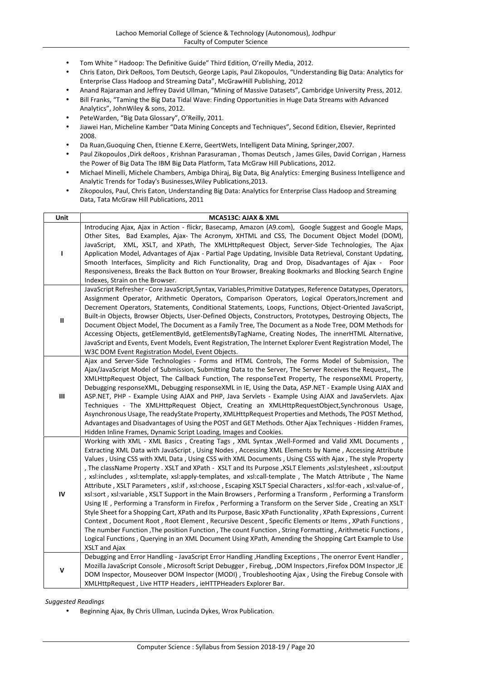- Tom White " Hadoop: The Definitive Guide" Third Edition, O'reilly Media, 2012.
- Chris Eaton, Dirk DeRoos, Tom Deutsch, George Lapis, Paul Zikopoulos, "Understanding Big Data: Analytics for Enterprise Class Hadoop and Streaming Data", McGrawHill Publishing, 2012
- Anand Rajaraman and Jeffrey David Ullman, "Mining of Massive Datasets", Cambridge University Press, 2012.
- Bill Franks, "Taming the Big Data Tidal Wave: Finding Opportunities in Huge Data Streams with Advanced Analytics", JohnWiley & sons, 2012.
- PeteWarden, "Big Data Glossary", O'Reilly, 2011.
- Jiawei Han, Micheline Kamber "Data Mining Concepts and Techniques", Second Edition, Elsevier, Reprinted 2008.
- Da Ruan,Guoquing Chen, Etienne E.Kerre, GeertWets, Intelligent Data Mining, Springer,2007.
- Paul Zikopoulos ,Dirk deRoos , Krishnan Parasuraman , Thomas Deutsch , James Giles, David Corrigan , Harness the Power of Big Data The IBM Big Data Platform, Tata McGraw Hill Publications, 2012.
- Michael Minelli, Michele Chambers, Ambiga Dhiraj, Big Data, Big Analytics: Emerging Business Intelligence and Analytic Trends for Today's Businesses,Wiley Publications,2013.
- Zikopoulos, Paul, Chris Eaton, Understanding Big Data: Analytics for Enterprise Class Hadoop and Streaming Data, Tata McGraw Hill Publications, 2011

| Unit          | MCA513C: AJAX & XML                                                                                                                                                                                                                                                                                                                                                                                                                                                                                                                                                                                                                                                                                                                                                                                                                                                                                                                                                                                                                                                                                                                                                                                                                                                                                                                                       |
|---------------|-----------------------------------------------------------------------------------------------------------------------------------------------------------------------------------------------------------------------------------------------------------------------------------------------------------------------------------------------------------------------------------------------------------------------------------------------------------------------------------------------------------------------------------------------------------------------------------------------------------------------------------------------------------------------------------------------------------------------------------------------------------------------------------------------------------------------------------------------------------------------------------------------------------------------------------------------------------------------------------------------------------------------------------------------------------------------------------------------------------------------------------------------------------------------------------------------------------------------------------------------------------------------------------------------------------------------------------------------------------|
| L             | Introducing Ajax, Ajax in Action - flickr, Basecamp, Amazon (A9.com), Google Suggest and Google Maps,<br>Other Sites, Bad Examples, Ajax- The Acronym, XHTML and CSS, The Document Object Model (DOM),<br>JavaScript, XML, XSLT, and XPath, The XMLHttpRequest Object, Server-Side Technologies, The Ajax<br>Application Model, Advantages of Ajax - Partial Page Updating, Invisible Data Retrieval, Constant Updating,<br>Smooth Interfaces, Simplicity and Rich Functionality, Drag and Drop, Disadvantages of Ajax - Poor<br>Responsiveness, Breaks the Back Button on Your Browser, Breaking Bookmarks and Blocking Search Engine<br>Indexes, Strain on the Browser.                                                                                                                                                                                                                                                                                                                                                                                                                                                                                                                                                                                                                                                                                 |
| $\mathsf{II}$ | JavaScript Refresher - Core JavaScript, Syntax, Variables, Primitive Datatypes, Reference Datatypes, Operators,<br>Assignment Operator, Arithmetic Operators, Comparison Operators, Logical Operators, Increment and<br>Decrement Operators, Statements, Conditional Statements, Loops, Functions, Object-Oriented JavaScript,<br>Built-in Objects, Browser Objects, User-Defined Objects, Constructors, Prototypes, Destroying Objects, The<br>Document Object Model, The Document as a Family Tree, The Document as a Node Tree, DOM Methods for<br>Accessing Objects, getElementById, getElementsByTagName, Creating Nodes, The innerHTML Alternative,<br>JavaScript and Events, Event Models, Event Registration, The Internet Explorer Event Registration Model, The<br>W3C DOM Event Registration Model, Event Objects.                                                                                                                                                                                                                                                                                                                                                                                                                                                                                                                             |
| Ш             | Ajax and Server-Side Technologies - Forms and HTML Controls, The Forms Model of Submission, The<br>Ajax/JavaScript Model of Submission, Submitting Data to the Server, The Server Receives the Request,, The<br>XMLHttpRequest Object, The Callback Function, The responseText Property, The responseXML Property,<br>Debugging responseXML, Debugging responseXML in IE, Using the Data, ASP.NET - Example Using AJAX and<br>ASP.NET, PHP - Example Using AJAX and PHP, Java Servlets - Example Using AJAX and JavaServlets. Ajax<br>Techniques - The XMLHttpRequest Object, Creating an XMLHttpRequestObject, Synchronous Usage,<br>Asynchronous Usage, The readyState Property, XMLHttpRequest Properties and Methods, The POST Method,<br>Advantages and Disadvantages of Using the POST and GET Methods. Other Ajax Techniques - Hidden Frames,<br>Hidden Inline Frames, Dynamic Script Loading, Images and Cookies.                                                                                                                                                                                                                                                                                                                                                                                                                                 |
| $\mathsf{IV}$ | Working with XML - XML Basics, Creating Tags, XML Syntax, Well-Formed and Valid XML Documents,<br>Extracting XML Data with JavaScript, Using Nodes, Accessing XML Elements by Name, Accessing Attribute<br>Values, Using CSS with XML Data, Using CSS with XML Documents, Using CSS with Ajax, The style Property<br>The className Property . XSLT and XPath - XSLT and Its Purpose ,XSLT Elements ,xsl:stylesheet , xsl:output<br>, xsl:includes, xsl:template, xsl:apply-templates, and xsl:call-template, The Match Attribute, The Name<br>Attribute, XSLT Parameters, xsl:if, xsl:choose, Escaping XSLT Special Characters, xsl:for-each, xsl:value-of,<br>xsl:sort, xsl:variable, XSLT Support in the Main Browsers, Performing a Transform, Performing a Transform<br>Using IE, Performing a Transform in Firefox, Performing a Transform on the Server Side, Creating an XSLT<br>Style Sheet for a Shopping Cart, XPath and Its Purpose, Basic XPath Functionality, XPath Expressions, Current<br>Context, Document Root, Root Element, Recursive Descent, Specific Elements or Items, XPath Functions,<br>The number Function , The position Function , The count Function , String Formatting , Arithmetic Functions ,<br>Logical Functions, Querying in an XML Document Using XPath, Amending the Shopping Cart Example to Use<br>XSLT and Ajax |
| ٧             | Debugging and Error Handling - JavaScript Error Handling , Handling Exceptions, The onerror Event Handler,<br>Mozilla JavaScript Console, Microsoft Script Debugger, Firebug, ,DOM Inspectors, Firefox DOM Inspector, IE<br>DOM Inspector, Mouseover DOM Inspector (MODI), Troubleshooting Ajax, Using the Firebug Console with<br>XMLHttpRequest, Live HTTP Headers, ieHTTPHeaders Explorer Bar.                                                                                                                                                                                                                                                                                                                                                                                                                                                                                                                                                                                                                                                                                                                                                                                                                                                                                                                                                         |

Beginning Ajax, By Chris Ullman, Lucinda Dykes, Wrox Publication.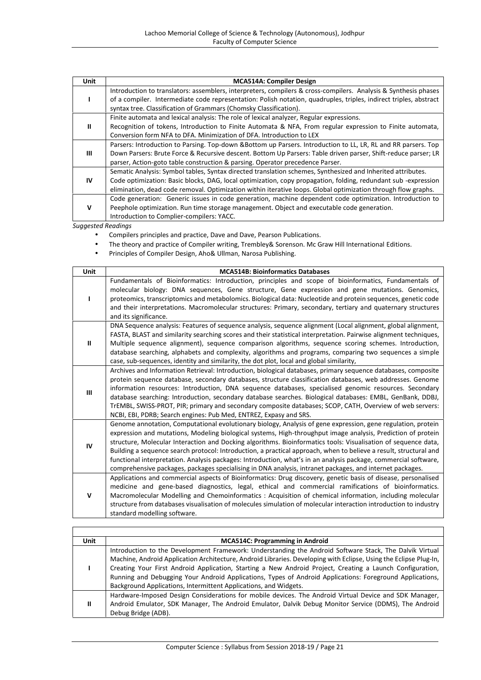| <b>Unit</b> | <b>MCA514A: Compiler Design</b>                                                                                   |
|-------------|-------------------------------------------------------------------------------------------------------------------|
|             | Introduction to translators: assemblers, interpreters, compilers & cross-compilers. Analysis & Synthesis phases   |
|             | of a compiler. Intermediate code representation: Polish notation, quadruples, triples, indirect triples, abstract |
|             | syntax tree. Classification of Grammars (Chomsky Classification).                                                 |
|             | Finite automata and lexical analysis: The role of lexical analyzer, Regular expressions.                          |
| Ш           | Recognition of tokens, Introduction to Finite Automata & NFA, From regular expression to Finite automata,         |
|             | Conversion form NFA to DFA. Minimization of DFA. Introduction to LEX                                              |
|             | Parsers: Introduction to Parsing. Top-down &Bottom up Parsers. Introduction to LL, LR, RL and RR parsers. Top     |
| Ш           | Down Parsers: Brute Force & Recursive descent. Bottom Up Parsers: Table driven parser, Shift-reduce parser; LR    |
|             | parser, Action-goto table construction & parsing. Operator precedence Parser.                                     |
|             | Sematic Analysis: Symbol tables, Syntax directed translation schemes, Synthesized and Inherited attributes.       |
| IV          | Code optimization: Basic blocks, DAG, local optimization, copy propagation, folding, redundant sub -expression    |
|             | elimination, dead code removal. Optimization within iterative loops. Global optimization through flow graphs.     |
|             | Code generation: Generic issues in code generation, machine dependent code optimization. Introduction to          |
| v           | Peephole optimization. Run time storage management. Object and executable code generation.                        |
|             | Introduction to Complier-compilers: YACC.                                                                         |

- Compilers principles and practice, Dave and Dave, Pearson Publications.
- The theory and practice of Compiler writing, Trembley& Sorenson. Mc Graw Hill International Editions.
- Principles of Compiler Design, Aho& Ullman, Narosa Publishing.

| <b>Unit</b>  | <b>MCA514B: Bioinformatics Databases</b>                                                                                                                                                                                                                                                                                                                                                                                                                                                                                                                                                                                                                                                           |
|--------------|----------------------------------------------------------------------------------------------------------------------------------------------------------------------------------------------------------------------------------------------------------------------------------------------------------------------------------------------------------------------------------------------------------------------------------------------------------------------------------------------------------------------------------------------------------------------------------------------------------------------------------------------------------------------------------------------------|
|              | Fundamentals of Bioinformatics: Introduction, principles and scope of bioinformatics, Fundamentals of<br>molecular biology: DNA sequences, Gene structure, Gene expression and gene mutations. Genomics,<br>proteomics, transcriptomics and metabolomics. Biological data: Nucleotide and protein sequences, genetic code<br>and their interpretations. Macromolecular structures: Primary, secondary, tertiary and quaternary structures<br>and its significance.                                                                                                                                                                                                                                 |
| $\mathbf{u}$ | DNA Sequence analysis: Features of sequence analysis, sequence alignment (Local alignment, global alignment,<br>FASTA, BLAST and similarity searching scores and their statistical interpretation. Pairwise alignment techniques,<br>Multiple sequence alignment), sequence comparison algorithms, sequence scoring schemes. Introduction,<br>database searching, alphabets and complexity, algorithms and programs, comparing two sequences a simple<br>case, sub-sequences, identity and similarity, the dot plot, local and global similarity,                                                                                                                                                  |
| Ш            | Archives and Information Retrieval: Introduction, biological databases, primary sequence databases, composite<br>protein sequence database, secondary databases, structure classification databases, web addresses. Genome<br>information resources: Introduction, DNA sequence databases, specialised genomic resources. Secondary<br>database searching: Introduction, secondary database searches. Biological databases: EMBL, GenBank, DDBJ,<br>TrEMBL, SWISS-PROT, PIR; primary and secondary composite databases; SCOP, CATH, Overview of web servers:<br>NCBI, EBI, PDRB; Search engines: Pub Med, ENTREZ, Expasy and SRS.                                                                  |
| IV           | Genome annotation, Computational evolutionary biology, Analysis of gene expression, gene regulation, protein<br>expression and mutations, Modeling biological systems, High-throughput image analysis, Prediction of protein<br>structure, Molecular Interaction and Docking algorithms. Bioinformatics tools: Visualisation of sequence data,<br>Building a sequence search protocol: Introduction, a practical approach, when to believe a result, structural and<br>functional interpretation. Analysis packages: Introduction, what's in an analysis package, commercial software,<br>comprehensive packages, packages specialising in DNA analysis, intranet packages, and internet packages. |
| v            | Applications and commercial aspects of Bioinformatics: Drug discovery, genetic basis of disease, personalised<br>medicine and gene-based diagnostics, legal, ethical and commercial ramifications of bioinformatics.<br>Macromolecular Modelling and Chemoinformatics : Acquisition of chemical information, including molecular<br>structure from databases visualisation of molecules simulation of molecular interaction introduction to industry<br>standard modelling software.                                                                                                                                                                                                               |

| <b>Unit</b> | <b>MCA514C: Programming in Android</b>                                                                                                                                                                                                                                                                                                                                                                                                                                                                                    |  |  |  |  |  |  |
|-------------|---------------------------------------------------------------------------------------------------------------------------------------------------------------------------------------------------------------------------------------------------------------------------------------------------------------------------------------------------------------------------------------------------------------------------------------------------------------------------------------------------------------------------|--|--|--|--|--|--|
|             | Introduction to the Development Framework: Understanding the Android Software Stack, The Dalvik Virtual<br>Machine, Android Application Architecture, Android Libraries. Developing with Eclipse, Using the Eclipse Plug-In,<br>Creating Your First Android Application, Starting a New Android Project, Creating a Launch Configuration,<br>Running and Debugging Your Android Applications, Types of Android Applications: Foreground Applications,<br>Background Applications, Intermittent Applications, and Widgets. |  |  |  |  |  |  |
| Ш           | Hardware-Imposed Design Considerations for mobile devices. The Android Virtual Device and SDK Manager,<br>Android Emulator, SDK Manager, The Android Emulator, Dalvik Debug Monitor Service (DDMS), The Android<br>Debug Bridge (ADB).                                                                                                                                                                                                                                                                                    |  |  |  |  |  |  |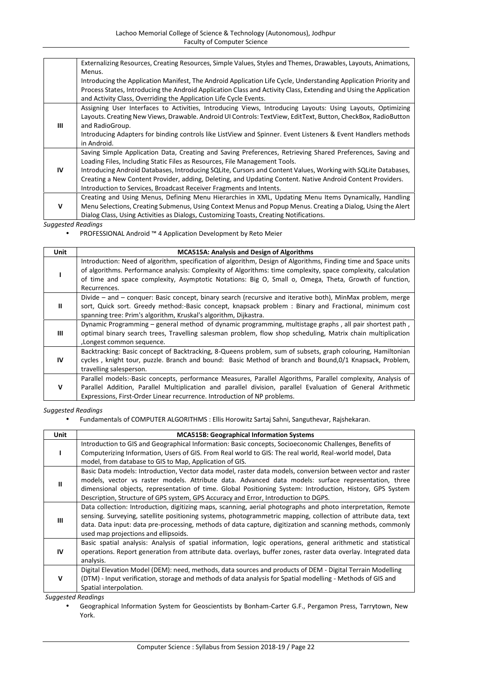|             | Externalizing Resources, Creating Resources, Simple Values, Styles and Themes, Drawables, Layouts, Animations,    |
|-------------|-------------------------------------------------------------------------------------------------------------------|
|             | Menus.                                                                                                            |
|             | Introducing the Application Manifest, The Android Application Life Cycle, Understanding Application Priority and  |
|             | Process States, Introducing the Android Application Class and Activity Class, Extending and Using the Application |
|             | and Activity Class, Overriding the Application Life Cycle Events.                                                 |
|             | Assigning User Interfaces to Activities, Introducing Views, Introducing Layouts: Using Layouts, Optimizing        |
|             | Layouts. Creating New Views, Drawable. Android UI Controls: TextView, EditText, Button, CheckBox, RadioButton     |
| Ш           | and RadioGroup.                                                                                                   |
|             | Introducing Adapters for binding controls like ListView and Spinner. Event Listeners & Event Handlers methods     |
|             | in Android.                                                                                                       |
|             | Saving Simple Application Data, Creating and Saving Preferences, Retrieving Shared Preferences, Saving and        |
|             | Loading Files, Including Static Files as Resources, File Management Tools.                                        |
| IV          | Introducing Android Databases, Introducing SQLite, Cursors and Content Values, Working with SQLite Databases,     |
|             | Creating a New Content Provider, adding, Deleting, and Updating Content. Native Android Content Providers.        |
|             | Introduction to Services, Broadcast Receiver Fragments and Intents.                                               |
|             | Creating and Using Menus, Defining Menu Hierarchies in XML, Updating Menu Items Dynamically, Handling             |
| $\mathbf v$ | Menu Selections, Creating Submenus, Using Context Menus and Popup Menus. Creating a Dialog, Using the Alert       |
|             | Dialog Class, Using Activities as Dialogs, Customizing Toasts, Creating Notifications.                            |
|             | Constructed Development                                                                                           |

PROFESSIONAL Android ™ 4 Application Development by Reto Meier

| Unit         | <b>MCA515A: Analysis and Design of Algorithms</b>                                                                                                                                                                                                                                                                                                         |
|--------------|-----------------------------------------------------------------------------------------------------------------------------------------------------------------------------------------------------------------------------------------------------------------------------------------------------------------------------------------------------------|
|              | Introduction: Need of algorithm, specification of algorithm, Design of Algorithms, Finding time and Space units<br>of algorithms. Performance analysis: Complexity of Algorithms: time complexity, space complexity, calculation<br>of time and space complexity, Asymptotic Notations: Big O, Small o, Omega, Theta, Growth of function,<br>Recurrences. |
| $\mathbf{I}$ | Divide – and – conquer: Basic concept, binary search (recursive and iterative both), MinMax problem, merge<br>sort, Quick sort. Greedy method:-Basic concept, knapsack problem : Binary and Fractional, minimum cost<br>spanning tree: Prim's algorithm, Kruskal's algorithm, Dijkastra.                                                                  |
| Ш            | Dynamic Programming – general method of dynamic programming, multistage graphs, all pair shortest path,<br>optimal binary search trees, Travelling salesman problem, flow shop scheduling, Matrix chain multiplication<br>, Longest common sequence.                                                                                                      |
| IV           | Backtracking: Basic concept of Backtracking, 8-Queens problem, sum of subsets, graph colouring, Hamiltonian<br>cycles, knight tour, puzzle. Branch and bound: Basic Method of branch and Bound, 0/1 Knapsack, Problem,<br>travelling salesperson.                                                                                                         |
| v            | Parallel models:-Basic concepts, performance Measures, Parallel Algorithms, Parallel complexity, Analysis of<br>Parallel Addition, Parallel Multiplication and parallel division, parallel Evaluation of General Arithmetic<br>Expressions, First-Order Linear recurrence. Introduction of NP problems.                                                   |

*Suggested Readings*

Fundamentals of COMPUTER ALGORITHMS : Ellis Horowitz Sartaj Sahni, Sanguthevar, Rajshekaran.

| Unit                      | <b>MCA515B: Geographical Information Systems</b>                                                                                                                                                                     |
|---------------------------|----------------------------------------------------------------------------------------------------------------------------------------------------------------------------------------------------------------------|
|                           | Introduction to GIS and Geographical Information: Basic concepts, Socioeconomic Challenges, Benefits of                                                                                                              |
|                           | Computerizing Information, Users of GIS. From Real world to GIS: The real world, Real-world model, Data                                                                                                              |
|                           | model, from database to GIS to Map, Application of GIS.                                                                                                                                                              |
| Ш                         | Basic Data models: Introduction, Vector data model, raster data models, conversion between vector and raster<br>models, vector vs raster models. Attribute data. Advanced data models: surface representation, three |
|                           | dimensional objects, representation of time. Global Positioning System: Introduction, History, GPS System                                                                                                            |
|                           | Description, Structure of GPS system, GPS Accuracy and Error, Introduction to DGPS.                                                                                                                                  |
|                           | Data collection: Introduction, digitizing maps, scanning, aerial photographs and photo interpretation, Remote                                                                                                        |
| Ш                         | sensing. Surveying, satellite positioning systems, photogrammetric mapping, collection of attribute data, text                                                                                                       |
|                           | data. Data input: data pre-processing, methods of data capture, digitization and scanning methods, commonly                                                                                                          |
|                           | used map projections and ellipsoids.                                                                                                                                                                                 |
|                           | Basic spatial analysis: Analysis of spatial information, logic operations, general arithmetic and statistical                                                                                                        |
| IV                        | operations. Report generation from attribute data. overlays, buffer zones, raster data overlay. Integrated data                                                                                                      |
|                           | analysis.                                                                                                                                                                                                            |
|                           | Digital Elevation Model (DEM): need, methods, data sources and products of DEM - Digital Terrain Modelling                                                                                                           |
| v                         | (DTM) - Input verification, storage and methods of data analysis for Spatial modelling - Methods of GIS and                                                                                                          |
|                           | Spatial interpolation.                                                                                                                                                                                               |
| <b>Suggested Readings</b> |                                                                                                                                                                                                                      |
|                           | Congraphical Information System for Conscientists by Ropham Cartor C.E. Dergamon Pross, Tarrytown, Now                                                                                                               |

 Geographical Information System for Geoscientists by Bonham-Carter G.F., Pergamon Press, Tarrytown, New York.